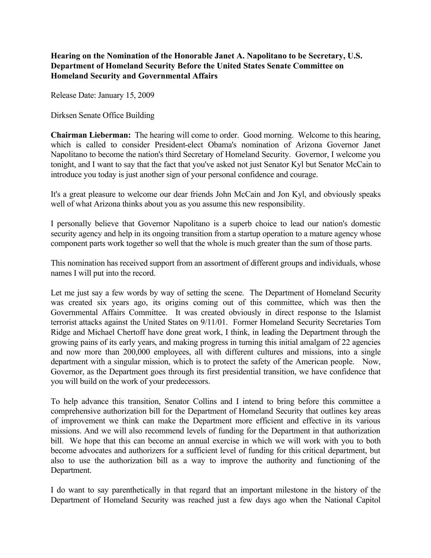# **Hearing on the Nomination of the Honorable Janet A. Napolitano to be Secretary, U.S. Department of Homeland Security Before the United States Senate Committee on Homeland Security and Governmental Affairs**

Release Date: January 15, 2009

Dirksen Senate Office Building

**Chairman Lieberman:** The hearing will come to order. Good morning. Welcome to this hearing, which is called to consider President-elect Obama's nomination of Arizona Governor Janet Napolitano to become the nation's third Secretary of Homeland Security. Governor, I welcome you tonight, and I want to say that the fact that you've asked not just Senator Kyl but Senator McCain to introduce you today is just another sign of your personal confidence and courage.

It's a great pleasure to welcome our dear friends John McCain and Jon Kyl, and obviously speaks well of what Arizona thinks about you as you assume this new responsibility.

I personally believe that Governor Napolitano is a superb choice to lead our nation's domestic security agency and help in its ongoing transition from a startup operation to a mature agency whose component parts work together so well that the whole is much greater than the sum of those parts.

This nomination has received support from an assortment of different groups and individuals, whose names I will put into the record.

Let me just say a few words by way of setting the scene. The Department of Homeland Security was created six years ago, its origins coming out of this committee, which was then the Governmental Affairs Committee. It was created obviously in direct response to the Islamist terrorist attacks against the United States on 9/11/01. Former Homeland Security Secretaries Tom Ridge and Michael Chertoff have done great work, I think, in leading the Department through the growing pains of its early years, and making progress in turning this initial amalgam of 22 agencies and now more than 200,000 employees, all with different cultures and missions, into a single department with a singular mission, which is to protect the safety of the American people. Now, Governor, as the Department goes through its first presidential transition, we have confidence that you will build on the work of your predecessors.

To help advance this transition, Senator Collins and I intend to bring before this committee a comprehensive authorization bill for the Department of Homeland Security that outlines key areas of improvement we think can make the Department more efficient and effective in its various missions. And we will also recommend levels of funding for the Department in that authorization bill. We hope that this can become an annual exercise in which we will work with you to both become advocates and authorizers for a sufficient level of funding for this critical department, but also to use the authorization bill as a way to improve the authority and functioning of the Department.

I do want to say parenthetically in that regard that an important milestone in the history of the Department of Homeland Security was reached just a few days ago when the National Capitol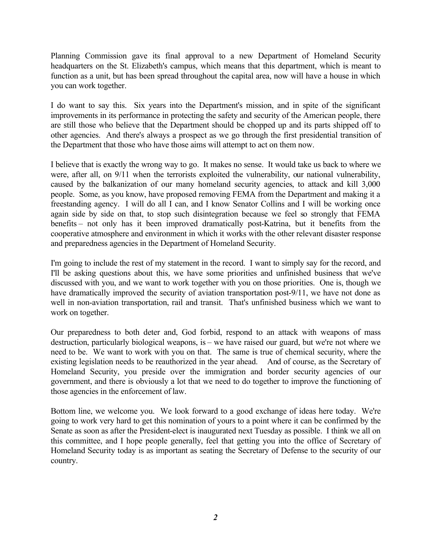Planning Commission gave its final approval to a new Department of Homeland Security headquarters on the St. Elizabeth's campus, which means that this department, which is meant to function as a unit, but has been spread throughout the capital area, now will have a house in which you can work together.

I do want to say this. Six years into the Department's mission, and in spite of the significant improvements in its performance in protecting the safety and security of the American people, there are still those who believe that the Department should be chopped up and its parts shipped off to other agencies. And there's always a prospect as we go through the first presidential transition of the Department that those who have those aims will attempt to act on them now.

I believe that is exactly the wrong way to go. It makes no sense. It would take us back to where we were, after all, on 9/11 when the terrorists exploited the vulnerability, our national vulnerability, caused by the balkanization of our many homeland security agencies, to attack and kill 3,000 people. Some, as you know, have proposed removing FEMA from the Department and making it a freestanding agency. I will do all I can, and I know Senator Collins and I will be working once again side by side on that, to stop such disintegration because we feel so strongly that FEMA benefits – not only has it been improved dramatically post-Katrina, but it benefits from the cooperative atmosphere and environment in which it works with the other relevant disaster response and preparedness agencies in the Department of Homeland Security.

I'm going to include the rest of my statement in the record. I want to simply say for the record, and I'll be asking questions about this, we have some priorities and unfinished business that we've discussed with you, and we want to work together with you on those priorities. One is, though we have dramatically improved the security of aviation transportation post-9/11, we have not done as well in non-aviation transportation, rail and transit. That's unfinished business which we want to work on together.

Our preparedness to both deter and, God forbid, respond to an attack with weapons of mass destruction, particularly biological weapons, is – we have raised our guard, but we're not where we need to be. We want to work with you on that. The same is true of chemical security, where the existing legislation needs to be reauthorized in the year ahead. And of course, as the Secretary of Homeland Security, you preside over the immigration and border security agencies of our government, and there is obviously a lot that we need to do together to improve the functioning of those agencies in the enforcement of law.

Bottom line, we welcome you. We look forward to a good exchange of ideas here today. We're going to work very hard to get this nomination of yours to a point where it can be confirmed by the Senate as soon as after the President-elect is inaugurated next Tuesday as possible. I think we all on this committee, and I hope people generally, feel that getting you into the office of Secretary of Homeland Security today is as important as seating the Secretary of Defense to the security of our country.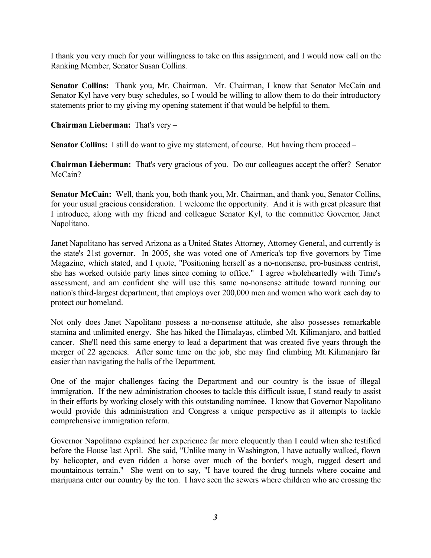I thank you very much for your willingness to take on this assignment, and I would now call on the Ranking Member, Senator Susan Collins.

**Senator Collins:** Thank you, Mr. Chairman. Mr. Chairman, I know that Senator McCain and Senator Kyl have very busy schedules, so I would be willing to allow them to do their introductory statements prior to my giving my opening statement if that would be helpful to them.

### **Chairman Lieberman:** That's very –

**Senator Collins:** I still do want to give my statement, of course. But having them proceed –

**Chairman Lieberman:** That's very gracious of you. Do our colleagues accept the offer? Senator McCain?

**Senator McCain:** Well, thank you, both thank you, Mr. Chairman, and thank you, Senator Collins, for your usual gracious consideration. I welcome the opportunity. And it is with great pleasure that I introduce, along with my friend and colleague Senator Kyl, to the committee Governor, Janet Napolitano.

Janet Napolitano has served Arizona as a United States Attorney, Attorney General, and currently is the state's 21st governor. In 2005, she was voted one of America's top five governors by Time Magazine, which stated, and I quote, "Positioning herself as a no-nonsense, pro-business centrist, she has worked outside party lines since coming to office." I agree wholeheartedly with Time's assessment, and am confident she will use this same no-nonsense attitude toward running our nation's third-largest department, that employs over 200,000 men and women who work each day to protect our homeland.

Not only does Janet Napolitano possess a no-nonsense attitude, she also possesses remarkable stamina and unlimited energy. She has hiked the Himalayas, climbed Mt. Kilimanjaro, and battled cancer. She'll need this same energy to lead a department that was created five years through the merger of 22 agencies. After some time on the job, she may find climbing Mt. Kilimanjaro far easier than navigating the halls of the Department.

One of the major challenges facing the Department and our country is the issue of illegal immigration. If the new administration chooses to tackle this difficult issue, I stand ready to assist in their efforts by working closely with this outstanding nominee. I know that Governor Napolitano would provide this administration and Congress a unique perspective as it attempts to tackle comprehensive immigration reform.

Governor Napolitano explained her experience far more eloquently than I could when she testified before the House last April. She said, "Unlike many in Washington, I have actually walked, flown by helicopter, and even ridden a horse over much of the border's rough, rugged desert and mountainous terrain." She went on to say, "I have toured the drug tunnels where cocaine and marijuana enter our country by the ton. I have seen the sewers where children who are crossing the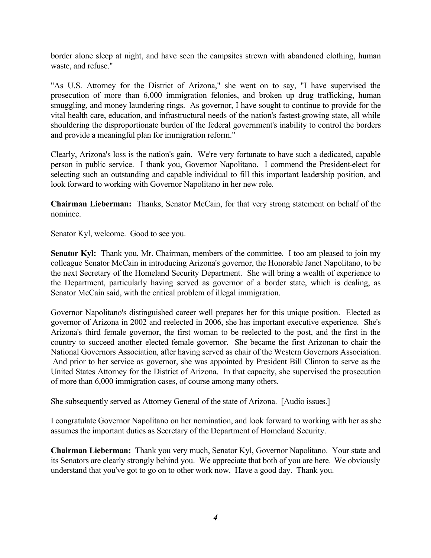border alone sleep at night, and have seen the campsites strewn with abandoned clothing, human waste, and refuse."

"As U.S. Attorney for the District of Arizona," she went on to say, "I have supervised the prosecution of more than 6,000 immigration felonies, and broken up drug trafficking, human smuggling, and money laundering rings. As governor, I have sought to continue to provide for the vital health care, education, and infrastructural needs of the nation's fastest-growing state, all while shouldering the disproportionate burden of the federal government's inability to control the borders and provide a meaningful plan for immigration reform."

Clearly, Arizona's loss is the nation's gain. We're very fortunate to have such a dedicated, capable person in public service. I thank you, Governor Napolitano. I commend the President-elect for selecting such an outstanding and capable individual to fill this important leadership position, and look forward to working with Governor Napolitano in her new role.

**Chairman Lieberman:** Thanks, Senator McCain, for that very strong statement on behalf of the nominee.

Senator Kyl, welcome. Good to see you.

**Senator Kyl:** Thank you, Mr. Chairman, members of the committee. I too am pleased to join my colleague Senator McCain in introducing Arizona's governor, the Honorable Janet Napolitano, to be the next Secretary of the Homeland Security Department. She will bring a wealth of experience to the Department, particularly having served as governor of a border state, which is dealing, as Senator McCain said, with the critical problem of illegal immigration.

Governor Napolitano's distinguished career well prepares her for this unique position. Elected as governor of Arizona in 2002 and reelected in 2006, she has important executive experience. She's Arizona's third female governor, the first woman to be reelected to the post, and the first in the country to succeed another elected female governor. She became the first Arizonan to chair the National Governors Association, after having served as chair of the Western Governors Association. And prior to her service as governor, she was appointed by President Bill Clinton to serve as the United States Attorney for the District of Arizona. In that capacity, she supervised the prosecution of more than 6,000 immigration cases, of course among many others.

She subsequently served as Attorney General of the state of Arizona. [Audio issues.]

I congratulate Governor Napolitano on her nomination, and look forward to working with her as she assumes the important duties as Secretary of the Department of Homeland Security.

**Chairman Lieberman:** Thank you very much, Senator Kyl, Governor Napolitano. Your state and its Senators are clearly strongly behind you. We appreciate that both of you are here. We obviously understand that you've got to go on to other work now. Have a good day. Thank you.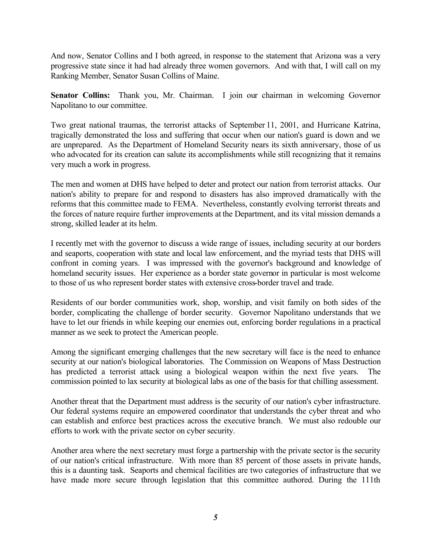And now, Senator Collins and I both agreed, in response to the statement that Arizona was a very progressive state since it had had already three women governors. And with that, I will call on my Ranking Member, Senator Susan Collins of Maine.

**Senator Collins:** Thank you, Mr. Chairman. I join our chairman in welcoming Governor Napolitano to our committee.

Two great national traumas, the terrorist attacks of September 11, 2001, and Hurricane Katrina, tragically demonstrated the loss and suffering that occur when our nation's guard is down and we are unprepared. As the Department of Homeland Security nears its sixth anniversary, those of us who advocated for its creation can salute its accomplishments while still recognizing that it remains very much a work in progress.

The men and women at DHS have helped to deter and protect our nation from terrorist attacks. Our nation's ability to prepare for and respond to disasters has also improved dramatically with the reforms that this committee made to FEMA. Nevertheless, constantly evolving terrorist threats and the forces of nature require further improvements at the Department, and its vital mission demands a strong, skilled leader at its helm.

I recently met with the governor to discuss a wide range of issues, including security at our borders and seaports, cooperation with state and local law enforcement, and the myriad tests that DHS will confront in coming years. I was impressed with the governor's background and knowledge of homeland security issues. Her experience as a border state governor in particular is most welcome to those of us who represent border states with extensive cross-border travel and trade.

Residents of our border communities work, shop, worship, and visit family on both sides of the border, complicating the challenge of border security. Governor Napolitano understands that we have to let our friends in while keeping our enemies out, enforcing border regulations in a practical manner as we seek to protect the American people.

Among the significant emerging challenges that the new secretary will face is the need to enhance security at our nation's biological laboratories. The Commission on Weapons of Mass Destruction has predicted a terrorist attack using a biological weapon within the next five years. The commission pointed to lax security at biological labs as one of the basis for that chilling assessment.

Another threat that the Department must address is the security of our nation's cyber infrastructure. Our federal systems require an empowered coordinator that understands the cyber threat and who can establish and enforce best practices across the executive branch. We must also redouble our efforts to work with the private sector on cyber security.

Another area where the next secretary must forge a partnership with the private sector is the security of our nation's critical infrastructure. With more than 85 percent of those assets in private hands, this is a daunting task. Seaports and chemical facilities are two categories of infrastructure that we have made more secure through legislation that this committee authored. During the 111th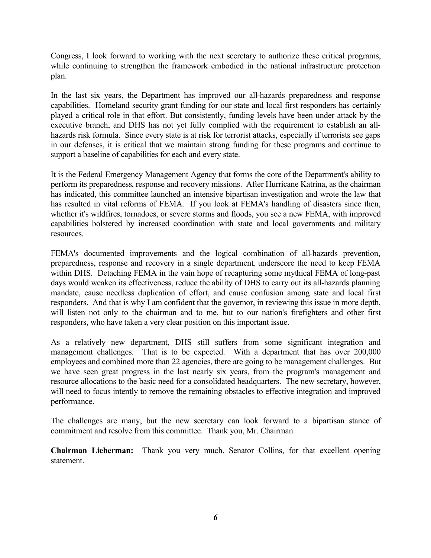Congress, I look forward to working with the next secretary to authorize these critical programs, while continuing to strengthen the framework embodied in the national infrastructure protection plan.

In the last six years, the Department has improved our all-hazards preparedness and response capabilities. Homeland security grant funding for our state and local first responders has certainly played a critical role in that effort. But consistently, funding levels have been under attack by the executive branch, and DHS has not yet fully complied with the requirement to establish an allhazards risk formula. Since every state is at risk for terrorist attacks, especially if terrorists see gaps in our defenses, it is critical that we maintain strong funding for these programs and continue to support a baseline of capabilities for each and every state.

It is the Federal Emergency Management Agency that forms the core of the Department's ability to perform its preparedness, response and recovery missions. After Hurricane Katrina, as the chairman has indicated, this committee launched an intensive bipartisan investigation and wrote the law that has resulted in vital reforms of FEMA. If you look at FEMA's handling of disasters since then, whether it's wildfires, tornadoes, or severe storms and floods, you see a new FEMA, with improved capabilities bolstered by increased coordination with state and local governments and military resources.

FEMA's documented improvements and the logical combination of all-hazards prevention, preparedness, response and recovery in a single department, underscore the need to keep FEMA within DHS. Detaching FEMA in the vain hope of recapturing some mythical FEMA of long-past days would weaken its effectiveness, reduce the ability of DHS to carry out its all-hazards planning mandate, cause needless duplication of effort, and cause confusion among state and local first responders. And that is why I am confident that the governor, in reviewing this issue in more depth, will listen not only to the chairman and to me, but to our nation's firefighters and other first responders, who have taken a very clear position on this important issue.

As a relatively new department, DHS still suffers from some significant integration and management challenges. That is to be expected. With a department that has over 200,000 employees and combined more than 22 agencies, there are going to be management challenges. But we have seen great progress in the last nearly six years, from the program's management and resource allocations to the basic need for a consolidated headquarters. The new secretary, however, will need to focus intently to remove the remaining obstacles to effective integration and improved performance.

The challenges are many, but the new secretary can look forward to a bipartisan stance of commitment and resolve from this committee. Thank you, Mr. Chairman.

**Chairman Lieberman:** Thank you very much, Senator Collins, for that excellent opening statement.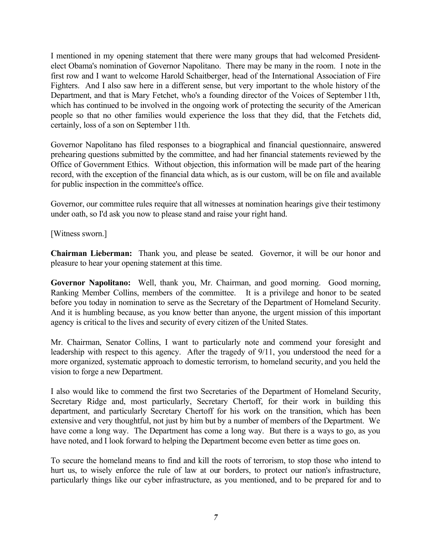I mentioned in my opening statement that there were many groups that had welcomed Presidentelect Obama's nomination of Governor Napolitano. There may be many in the room. I note in the first row and I want to welcome Harold Schaitberger, head of the International Association of Fire Fighters. And I also saw here in a different sense, but very important to the whole history of the Department, and that is Mary Fetchet, who's a founding director of the Voices of September 11th, which has continued to be involved in the ongoing work of protecting the security of the American people so that no other families would experience the loss that they did, that the Fetchets did, certainly, loss of a son on September 11th.

Governor Napolitano has filed responses to a biographical and financial questionnaire, answered prehearing questions submitted by the committee, and had her financial statements reviewed by the Office of Government Ethics. Without objection, this information will be made part of the hearing record, with the exception of the financial data which, as is our custom, will be on file and available for public inspection in the committee's office.

Governor, our committee rules require that all witnesses at nomination hearings give their testimony under oath, so I'd ask you now to please stand and raise your right hand.

[Witness sworn.]

**Chairman Lieberman:** Thank you, and please be seated. Governor, it will be our honor and pleasure to hear your opening statement at this time.

**Governor Napolitano:** Well, thank you, Mr. Chairman, and good morning. Good morning, Ranking Member Collins, members of the committee. It is a privilege and honor to be seated before you today in nomination to serve as the Secretary of the Department of Homeland Security. And it is humbling because, as you know better than anyone, the urgent mission of this important agency is critical to the lives and security of every citizen of the United States.

Mr. Chairman, Senator Collins, I want to particularly note and commend your foresight and leadership with respect to this agency. After the tragedy of 9/11, you understood the need for a more organized, systematic approach to domestic terrorism, to homeland security, and you held the vision to forge a new Department.

I also would like to commend the first two Secretaries of the Department of Homeland Security, Secretary Ridge and, most particularly, Secretary Chertoff, for their work in building this department, and particularly Secretary Chertoff for his work on the transition, which has been extensive and very thoughtful, not just by him but by a number of members of the Department. We have come a long way. The Department has come a long way. But there is a ways to go, as you have noted, and I look forward to helping the Department become even better as time goes on.

To secure the homeland means to find and kill the roots of terrorism, to stop those who intend to hurt us, to wisely enforce the rule of law at our borders, to protect our nation's infrastructure, particularly things like our cyber infrastructure, as you mentioned, and to be prepared for and to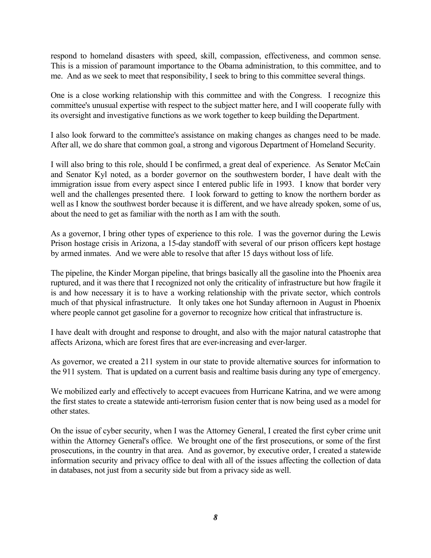respond to homeland disasters with speed, skill, compassion, effectiveness, and common sense. This is a mission of paramount importance to the Obama administration, to this committee, and to me. And as we seek to meet that responsibility, I seek to bring to this committee several things.

One is a close working relationship with this committee and with the Congress. I recognize this committee's unusual expertise with respect to the subject matter here, and I will cooperate fully with its oversight and investigative functions as we work together to keep building the Department.

I also look forward to the committee's assistance on making changes as changes need to be made. After all, we do share that common goal, a strong and vigorous Department of Homeland Security.

I will also bring to this role, should I be confirmed, a great deal of experience. As Senator McCain and Senator Kyl noted, as a border governor on the southwestern border, I have dealt with the immigration issue from every aspect since I entered public life in 1993. I know that border very well and the challenges presented there. I look forward to getting to know the northern border as well as I know the southwest border because it is different, and we have already spoken, some of us, about the need to get as familiar with the north as I am with the south.

As a governor, I bring other types of experience to this role. I was the governor during the Lewis Prison hostage crisis in Arizona, a 15-day standoff with several of our prison officers kept hostage by armed inmates. And we were able to resolve that after 15 days without loss of life.

The pipeline, the Kinder Morgan pipeline, that brings basically all the gasoline into the Phoenix area ruptured, and it was there that I recognized not only the criticality of infrastructure but how fragile it is and how necessary it is to have a working relationship with the private sector, which controls much of that physical infrastructure. It only takes one hot Sunday afternoon in August in Phoenix where people cannot get gasoline for a governor to recognize how critical that infrastructure is.

I have dealt with drought and response to drought, and also with the major natural catastrophe that affects Arizona, which are forest fires that are ever-increasing and ever-larger.

As governor, we created a 211 system in our state to provide alternative sources for information to the 911 system. That is updated on a current basis and realtime basis during any type of emergency.

We mobilized early and effectively to accept evacuees from Hurricane Katrina, and we were among the first states to create a statewide anti-terrorism fusion center that is now being used as a model for other states.

On the issue of cyber security, when I was the Attorney General, I created the first cyber crime unit within the Attorney General's office. We brought one of the first prosecutions, or some of the first prosecutions, in the country in that area. And as governor, by executive order, I created a statewide information security and privacy office to deal with all of the issues affecting the collection of data in databases, not just from a security side but from a privacy side as well.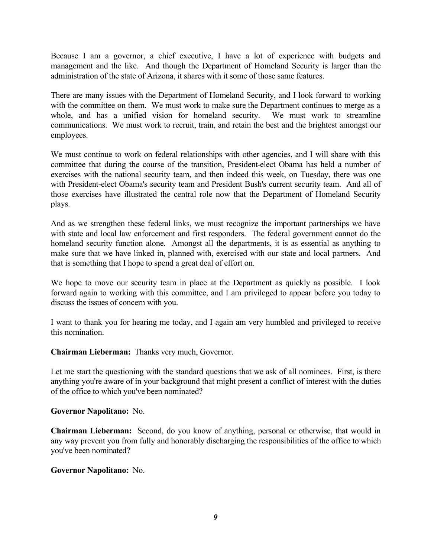Because I am a governor, a chief executive, I have a lot of experience with budgets and management and the like. And though the Department of Homeland Security is larger than the administration of the state of Arizona, it shares with it some of those same features.

There are many issues with the Department of Homeland Security, and I look forward to working with the committee on them. We must work to make sure the Department continues to merge as a whole, and has a unified vision for homeland security. We must work to streamline communications. We must work to recruit, train, and retain the best and the brightest amongst our employees.

We must continue to work on federal relationships with other agencies, and I will share with this committee that during the course of the transition, President-elect Obama has held a number of exercises with the national security team, and then indeed this week, on Tuesday, there was one with President-elect Obama's security team and President Bush's current security team. And all of those exercises have illustrated the central role now that the Department of Homeland Security plays.

And as we strengthen these federal links, we must recognize the important partnerships we have with state and local law enforcement and first responders. The federal government cannot do the homeland security function alone. Amongst all the departments, it is as essential as anything to make sure that we have linked in, planned with, exercised with our state and local partners. And that is something that I hope to spend a great deal of effort on.

We hope to move our security team in place at the Department as quickly as possible. I look forward again to working with this committee, and I am privileged to appear before you today to discuss the issues of concern with you.

I want to thank you for hearing me today, and I again am very humbled and privileged to receive this nomination.

### **Chairman Lieberman:** Thanks very much, Governor.

Let me start the questioning with the standard questions that we ask of all nominees. First, is there anything you're aware of in your background that might present a conflict of interest with the duties of the office to which you've been nominated?

### **Governor Napolitano:** No.

**Chairman Lieberman:** Second, do you know of anything, personal or otherwise, that would in any way prevent you from fully and honorably discharging the responsibilities of the office to which you've been nominated?

### **Governor Napolitano:** No.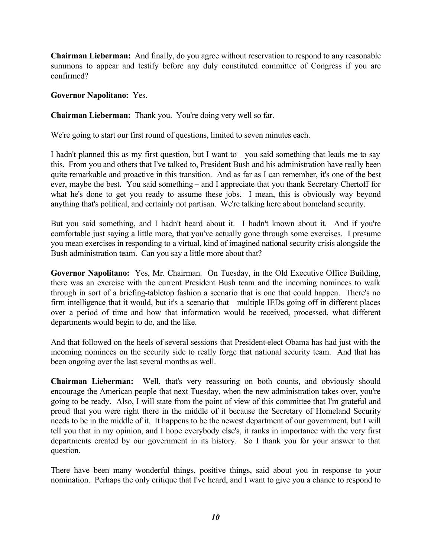**Chairman Lieberman:** And finally, do you agree without reservation to respond to any reasonable summons to appear and testify before any duly constituted committee of Congress if you are confirmed?

**Governor Napolitano:** Yes.

**Chairman Lieberman:** Thank you. You're doing very well so far.

We're going to start our first round of questions, limited to seven minutes each.

I hadn't planned this as my first question, but I want to – you said something that leads me to say this. From you and others that I've talked to, President Bush and his administration have really been quite remarkable and proactive in this transition. And as far as I can remember, it's one of the best ever, maybe the best. You said something – and I appreciate that you thank Secretary Chertoff for what he's done to get you ready to assume these jobs. I mean, this is obviously way beyond anything that's political, and certainly not partisan. We're talking here about homeland security.

But you said something, and I hadn't heard about it. I hadn't known about it. And if you're comfortable just saying a little more, that you've actually gone through some exercises. I presume you mean exercises in responding to a virtual, kind of imagined national security crisis alongside the Bush administration team. Can you say a little more about that?

**Governor Napolitano:** Yes, Mr. Chairman. On Tuesday, in the Old Executive Office Building, there was an exercise with the current President Bush team and the incoming nominees to walk through in sort of a briefing-tabletop fashion a scenario that is one that could happen. There's no firm intelligence that it would, but it's a scenario that – multiple IEDs going off in different places over a period of time and how that information would be received, processed, what different departments would begin to do, and the like.

And that followed on the heels of several sessions that President-elect Obama has had just with the incoming nominees on the security side to really forge that national security team. And that has been ongoing over the last several months as well.

**Chairman Lieberman:** Well, that's very reassuring on both counts, and obviously should encourage the American people that next Tuesday, when the new administration takes over, you're going to be ready. Also, I will state from the point of view of this committee that I'm grateful and proud that you were right there in the middle of it because the Secretary of Homeland Security needs to be in the middle of it. It happens to be the newest department of our government, but I will tell you that in my opinion, and I hope everybody else's, it ranks in importance with the very first departments created by our government in its history. So I thank you for your answer to that question.

There have been many wonderful things, positive things, said about you in response to your nomination. Perhaps the only critique that I've heard, and I want to give you a chance to respond to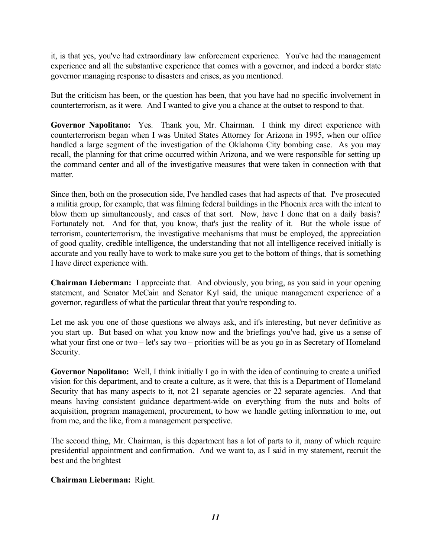it, is that yes, you've had extraordinary law enforcement experience. You've had the management experience and all the substantive experience that comes with a governor, and indeed a border state governor managing response to disasters and crises, as you mentioned.

But the criticism has been, or the question has been, that you have had no specific involvement in counterterrorism, as it were. And I wanted to give you a chance at the outset to respond to that.

**Governor Napolitano:** Yes. Thank you, Mr. Chairman. I think my direct experience with counterterrorism began when I was United States Attorney for Arizona in 1995, when our office handled a large segment of the investigation of the Oklahoma City bombing case. As you may recall, the planning for that crime occurred within Arizona, and we were responsible for setting up the command center and all of the investigative measures that were taken in connection with that matter.

Since then, both on the prosecution side, I've handled cases that had aspects of that. I've prosecuted a militia group, for example, that was filming federal buildings in the Phoenix area with the intent to blow them up simultaneously, and cases of that sort. Now, have I done that on a daily basis? Fortunately not. And for that, you know, that's just the reality of it. But the whole issue of terrorism, counterterrorism, the investigative mechanisms that must be employed, the appreciation of good quality, credible intelligence, the understanding that not all intelligence received initially is accurate and you really have to work to make sure you get to the bottom of things, that is something I have direct experience with.

**Chairman Lieberman:** I appreciate that. And obviously, you bring, as you said in your opening statement, and Senator McCain and Senator Kyl said, the unique management experience of a governor, regardless of what the particular threat that you're responding to.

Let me ask you one of those questions we always ask, and it's interesting, but never definitive as you start up. But based on what you know now and the briefings you've had, give us a sense of what your first one or two – let's say two – priorities will be as you go in as Secretary of Homeland Security.

**Governor Napolitano:** Well, I think initially I go in with the idea of continuing to create a unified vision for this department, and to create a culture, as it were, that this is a Department of Homeland Security that has many aspects to it, not 21 separate agencies or 22 separate agencies. And that means having consistent guidance department-wide on everything from the nuts and bolts of acquisition, program management, procurement, to how we handle getting information to me, out from me, and the like, from a management perspective.

The second thing, Mr. Chairman, is this department has a lot of parts to it, many of which require presidential appointment and confirmation. And we want to, as I said in my statement, recruit the best and the brightest –

# **Chairman Lieberman:** Right.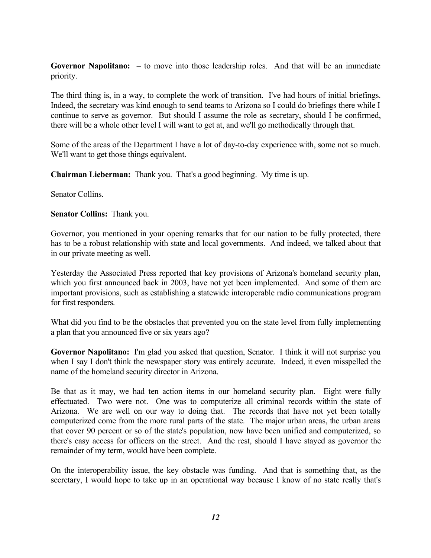**Governor Napolitano:** – to move into those leadership roles. And that will be an immediate priority.

The third thing is, in a way, to complete the work of transition. I've had hours of initial briefings. Indeed, the secretary was kind enough to send teams to Arizona so I could do briefings there while I continue to serve as governor. But should I assume the role as secretary, should I be confirmed, there will be a whole other level I will want to get at, and we'll go methodically through that.

Some of the areas of the Department I have a lot of day-to-day experience with, some not so much. We'll want to get those things equivalent.

**Chairman Lieberman:** Thank you. That's a good beginning. My time is up.

Senator Collins.

### **Senator Collins:** Thank you.

Governor, you mentioned in your opening remarks that for our nation to be fully protected, there has to be a robust relationship with state and local governments. And indeed, we talked about that in our private meeting as well.

Yesterday the Associated Press reported that key provisions of Arizona's homeland security plan, which you first announced back in 2003, have not yet been implemented. And some of them are important provisions, such as establishing a statewide interoperable radio communications program for first responders.

What did you find to be the obstacles that prevented you on the state level from fully implementing a plan that you announced five or six years ago?

**Governor Napolitano:** I'm glad you asked that question, Senator. I think it will not surprise you when I say I don't think the newspaper story was entirely accurate. Indeed, it even misspelled the name of the homeland security director in Arizona.

Be that as it may, we had ten action items in our homeland security plan. Eight were fully effectuated. Two were not. One was to computerize all criminal records within the state of Arizona. We are well on our way to doing that. The records that have not yet been totally computerized come from the more rural parts of the state. The major urban areas, the urban areas that cover 90 percent or so of the state's population, now have been unified and computerized, so there's easy access for officers on the street. And the rest, should I have stayed as governor the remainder of my term, would have been complete.

On the interoperability issue, the key obstacle was funding. And that is something that, as the secretary, I would hope to take up in an operational way because I know of no state really that's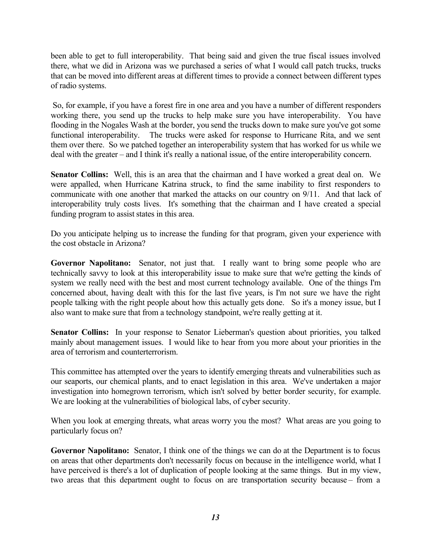been able to get to full interoperability. That being said and given the true fiscal issues involved there, what we did in Arizona was we purchased a series of what I would call patch trucks, trucks that can be moved into different areas at different times to provide a connect between different types of radio systems.

 So, for example, if you have a forest fire in one area and you have a number of different responders working there, you send up the trucks to help make sure you have interoperability. You have flooding in the Nogales Wash at the border, you send the trucks down to make sure you've got some functional interoperability. The trucks were asked for response to Hurricane Rita, and we sent them over there. So we patched together an interoperability system that has worked for us while we deal with the greater – and I think it's really a national issue, of the entire interoperability concern.

**Senator Collins:** Well, this is an area that the chairman and I have worked a great deal on. We were appalled, when Hurricane Katrina struck, to find the same inability to first responders to communicate with one another that marked the attacks on our country on 9/11. And that lack of interoperability truly costs lives. It's something that the chairman and I have created a special funding program to assist states in this area.

Do you anticipate helping us to increase the funding for that program, given your experience with the cost obstacle in Arizona?

**Governor Napolitano:** Senator, not just that. I really want to bring some people who are technically savvy to look at this interoperability issue to make sure that we're getting the kinds of system we really need with the best and most current technology available. One of the things I'm concerned about, having dealt with this for the last five years, is I'm not sure we have the right people talking with the right people about how this actually gets done. So it's a money issue, but I also want to make sure that from a technology standpoint, we're really getting at it.

**Senator Collins:** In your response to Senator Lieberman's question about priorities, you talked mainly about management issues. I would like to hear from you more about your priorities in the area of terrorism and counterterrorism.

This committee has attempted over the years to identify emerging threats and vulnerabilities such as our seaports, our chemical plants, and to enact legislation in this area. We've undertaken a major investigation into homegrown terrorism, which isn't solved by better border security, for example. We are looking at the vulnerabilities of biological labs, of cyber security.

When you look at emerging threats, what areas worry you the most? What areas are you going to particularly focus on?

**Governor Napolitano:** Senator, I think one of the things we can do at the Department is to focus on areas that other departments don't necessarily focus on because in the intelligence world, what I have perceived is there's a lot of duplication of people looking at the same things. But in my view, two areas that this department ought to focus on are transportation security because – from a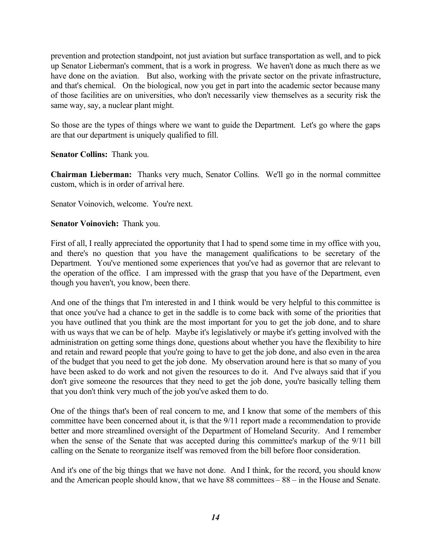prevention and protection standpoint, not just aviation but surface transportation as well, and to pick up Senator Lieberman's comment, that is a work in progress. We haven't done as much there as we have done on the aviation. But also, working with the private sector on the private infrastructure, and that's chemical. On the biological, now you get in part into the academic sector because many of those facilities are on universities, who don't necessarily view themselves as a security risk the same way, say, a nuclear plant might.

So those are the types of things where we want to guide the Department. Let's go where the gaps are that our department is uniquely qualified to fill.

## **Senator Collins:** Thank you.

**Chairman Lieberman:** Thanks very much, Senator Collins. We'll go in the normal committee custom, which is in order of arrival here.

Senator Voinovich, welcome. You're next.

## **Senator Voinovich:** Thank you.

First of all, I really appreciated the opportunity that I had to spend some time in my office with you, and there's no question that you have the management qualifications to be secretary of the Department. You've mentioned some experiences that you've had as governor that are relevant to the operation of the office. I am impressed with the grasp that you have of the Department, even though you haven't, you know, been there.

And one of the things that I'm interested in and I think would be very helpful to this committee is that once you've had a chance to get in the saddle is to come back with some of the priorities that you have outlined that you think are the most important for you to get the job done, and to share with us ways that we can be of help. Maybe it's legislatively or maybe it's getting involved with the administration on getting some things done, questions about whether you have the flexibility to hire and retain and reward people that you're going to have to get the job done, and also even in the area of the budget that you need to get the job done. My observation around here is that so many of you have been asked to do work and not given the resources to do it. And I've always said that if you don't give someone the resources that they need to get the job done, you're basically telling them that you don't think very much of the job you've asked them to do.

One of the things that's been of real concern to me, and I know that some of the members of this committee have been concerned about it, is that the 9/11 report made a recommendation to provide better and more streamlined oversight of the Department of Homeland Security. And I remember when the sense of the Senate that was accepted during this committee's markup of the 9/11 bill calling on the Senate to reorganize itself was removed from the bill before floor consideration.

And it's one of the big things that we have not done. And I think, for the record, you should know and the American people should know, that we have 88 committees – 88 – in the House and Senate.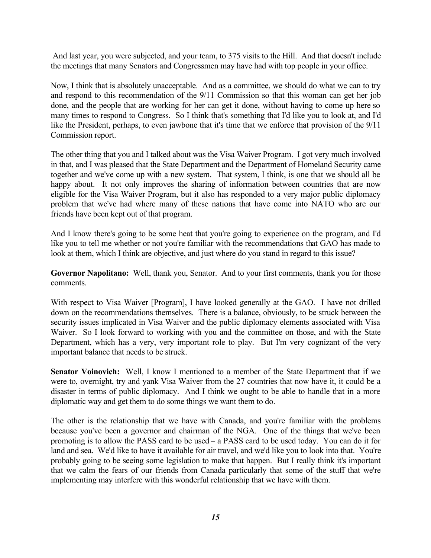And last year, you were subjected, and your team, to 375 visits to the Hill. And that doesn't include the meetings that many Senators and Congressmen may have had with top people in your office.

Now, I think that is absolutely unacceptable. And as a committee, we should do what we can to try and respond to this recommendation of the 9/11 Commission so that this woman can get her job done, and the people that are working for her can get it done, without having to come up here so many times to respond to Congress. So I think that's something that I'd like you to look at, and I'd like the President, perhaps, to even jawbone that it's time that we enforce that provision of the 9/11 Commission report.

The other thing that you and I talked about was the Visa Waiver Program. I got very much involved in that, and I was pleased that the State Department and the Department of Homeland Security came together and we've come up with a new system. That system, I think, is one that we should all be happy about. It not only improves the sharing of information between countries that are now eligible for the Visa Waiver Program, but it also has responded to a very major public diplomacy problem that we've had where many of these nations that have come into NATO who are our friends have been kept out of that program.

And I know there's going to be some heat that you're going to experience on the program, and I'd like you to tell me whether or not you're familiar with the recommendations that GAO has made to look at them, which I think are objective, and just where do you stand in regard to this issue?

**Governor Napolitano:** Well, thank you, Senator. And to your first comments, thank you for those comments.

With respect to Visa Waiver [Program], I have looked generally at the GAO. I have not drilled down on the recommendations themselves. There is a balance, obviously, to be struck between the security issues implicated in Visa Waiver and the public diplomacy elements associated with Visa Waiver. So I look forward to working with you and the committee on those, and with the State Department, which has a very, very important role to play. But I'm very cognizant of the very important balance that needs to be struck.

**Senator Voinovich:** Well, I know I mentioned to a member of the State Department that if we were to, overnight, try and yank Visa Waiver from the 27 countries that now have it, it could be a disaster in terms of public diplomacy. And I think we ought to be able to handle that in a more diplomatic way and get them to do some things we want them to do.

The other is the relationship that we have with Canada, and you're familiar with the problems because you've been a governor and chairman of the NGA. One of the things that we've been promoting is to allow the PASS card to be used – a PASS card to be used today. You can do it for land and sea. We'd like to have it available for air travel, and we'd like you to look into that. You're probably going to be seeing some legislation to make that happen. But I really think it's important that we calm the fears of our friends from Canada particularly that some of the stuff that we're implementing may interfere with this wonderful relationship that we have with them.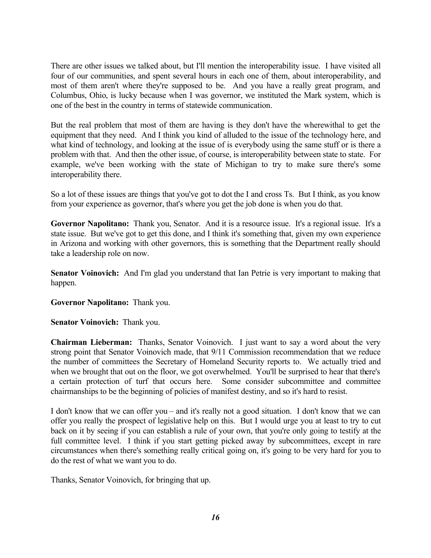There are other issues we talked about, but I'll mention the interoperability issue. I have visited all four of our communities, and spent several hours in each one of them, about interoperability, and most of them aren't where they're supposed to be. And you have a really great program, and Columbus, Ohio, is lucky because when I was governor, we instituted the Mark system, which is one of the best in the country in terms of statewide communication.

But the real problem that most of them are having is they don't have the wherewithal to get the equipment that they need. And I think you kind of alluded to the issue of the technology here, and what kind of technology, and looking at the issue of is everybody using the same stuff or is there a problem with that. And then the other issue, of course, is interoperability between state to state. For example, we've been working with the state of Michigan to try to make sure there's some interoperability there.

So a lot of these issues are things that you've got to dot the I and cross Ts. But I think, as you know from your experience as governor, that's where you get the job done is when you do that.

**Governor Napolitano:** Thank you, Senator. And it is a resource issue. It's a regional issue. It's a state issue. But we've got to get this done, and I think it's something that, given my own experience in Arizona and working with other governors, this is something that the Department really should take a leadership role on now.

**Senator Voinovich:** And I'm glad you understand that Ian Petrie is very important to making that happen.

**Governor Napolitano:** Thank you.

**Senator Voinovich:** Thank you.

**Chairman Lieberman:** Thanks, Senator Voinovich. I just want to say a word about the very strong point that Senator Voinovich made, that 9/11 Commission recommendation that we reduce the number of committees the Secretary of Homeland Security reports to. We actually tried and when we brought that out on the floor, we got overwhelmed. You'll be surprised to hear that there's a certain protection of turf that occurs here. Some consider subcommittee and committee chairmanships to be the beginning of policies of manifest destiny, and so it's hard to resist.

I don't know that we can offer you – and it's really not a good situation. I don't know that we can offer you really the prospect of legislative help on this. But I would urge you at least to try to cut back on it by seeing if you can establish a rule of your own, that you're only going to testify at the full committee level. I think if you start getting picked away by subcommittees, except in rare circumstances when there's something really critical going on, it's going to be very hard for you to do the rest of what we want you to do.

Thanks, Senator Voinovich, for bringing that up.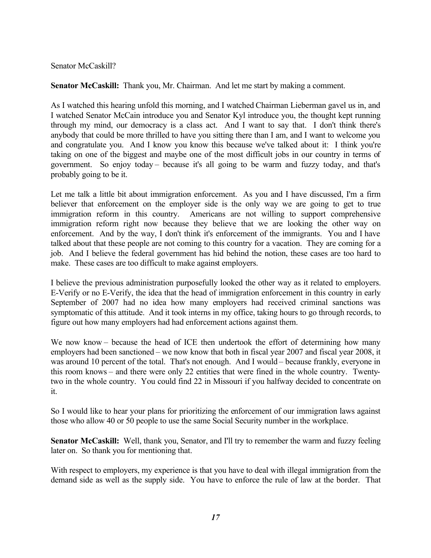Senator McCaskill?

**Senator McCaskill:** Thank you, Mr. Chairman. And let me start by making a comment.

As I watched this hearing unfold this morning, and I watched Chairman Lieberman gavel us in, and I watched Senator McCain introduce you and Senator Kyl introduce you, the thought kept running through my mind, our democracy is a class act. And I want to say that. I don't think there's anybody that could be more thrilled to have you sitting there than I am, and I want to welcome you and congratulate you. And I know you know this because we've talked about it: I think you're taking on one of the biggest and maybe one of the most difficult jobs in our country in terms of government. So enjoy today – because it's all going to be warm and fuzzy today, and that's probably going to be it.

Let me talk a little bit about immigration enforcement. As you and I have discussed, I'm a firm believer that enforcement on the employer side is the only way we are going to get to true immigration reform in this country. Americans are not willing to support comprehensive immigration reform right now because they believe that we are looking the other way on enforcement. And by the way, I don't think it's enforcement of the immigrants. You and I have talked about that these people are not coming to this country for a vacation. They are coming for a job. And I believe the federal government has hid behind the notion, these cases are too hard to make. These cases are too difficult to make against employers.

I believe the previous administration purposefully looked the other way as it related to employers. E-Verify or no E-Verify, the idea that the head of immigration enforcement in this country in early September of 2007 had no idea how many employers had received criminal sanctions was symptomatic of this attitude. And it took interns in my office, taking hours to go through records, to figure out how many employers had had enforcement actions against them.

We now know – because the head of ICE then undertook the effort of determining how many employers had been sanctioned – we now know that both in fiscal year 2007 and fiscal year 2008, it was around 10 percent of the total. That's not enough. And I would – because frankly, everyone in this room knows – and there were only 22 entities that were fined in the whole country. Twentytwo in the whole country. You could find 22 in Missouri if you halfway decided to concentrate on it.

So I would like to hear your plans for prioritizing the enforcement of our immigration laws against those who allow 40 or 50 people to use the same Social Security number in the workplace.

**Senator McCaskill:** Well, thank you, Senator, and I'll try to remember the warm and fuzzy feeling later on. So thank you for mentioning that.

With respect to employers, my experience is that you have to deal with illegal immigration from the demand side as well as the supply side. You have to enforce the rule of law at the border. That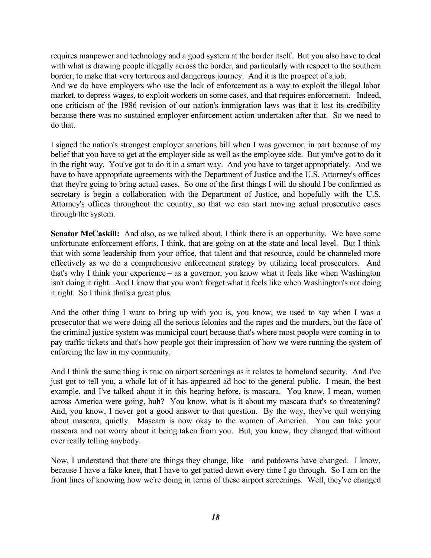requires manpower and technology and a good system at the border itself. But you also have to deal with what is drawing people illegally across the border, and particularly with respect to the southern border, to make that very torturous and dangerous journey. And it is the prospect of a job.

And we do have employers who use the lack of enforcement as a way to exploit the illegal labor market, to depress wages, to exploit workers on some cases, and that requires enforcement. Indeed, one criticism of the 1986 revision of our nation's immigration laws was that it lost its credibility because there was no sustained employer enforcement action undertaken after that. So we need to do that.

I signed the nation's strongest employer sanctions bill when I was governor, in part because of my belief that you have to get at the employer side as well as the employee side. But you've got to do it in the right way. You've got to do it in a smart way. And you have to target appropriately. And we have to have appropriate agreements with the Department of Justice and the U.S. Attorney's offices that they're going to bring actual cases. So one of the first things I will do should I be confirmed as secretary is begin a collaboration with the Department of Justice, and hopefully with the U.S. Attorney's offices throughout the country, so that we can start moving actual prosecutive cases through the system.

**Senator McCaskill:** And also, as we talked about, I think there is an opportunity. We have some unfortunate enforcement efforts, I think, that are going on at the state and local level. But I think that with some leadership from your office, that talent and that resource, could be channeled more effectively as we do a comprehensive enforcement strategy by utilizing local prosecutors. And that's why I think your experience – as a governor, you know what it feels like when Washington isn't doing it right. And I know that you won't forget what it feels like when Washington's not doing it right. So I think that's a great plus.

And the other thing I want to bring up with you is, you know, we used to say when I was a prosecutor that we were doing all the serious felonies and the rapes and the murders, but the face of the criminal justice system was municipal court because that's where most people were coming in to pay traffic tickets and that's how people got their impression of how we were running the system of enforcing the law in my community.

And I think the same thing is true on airport screenings as it relates to homeland security. And I've just got to tell you, a whole lot of it has appeared ad hoc to the general public. I mean, the best example, and I've talked about it in this hearing before, is mascara. You know, I mean, women across America were going, huh? You know, what is it about my mascara that's so threatening? And, you know, I never got a good answer to that question. By the way, they've quit worrying about mascara, quietly. Mascara is now okay to the women of America. You can take your mascara and not worry about it being taken from you. But, you know, they changed that without ever really telling anybody.

Now, I understand that there are things they change, like – and patdowns have changed. I know, because I have a fake knee, that I have to get patted down every time I go through. So I am on the front lines of knowing how we're doing in terms of these airport screenings. Well, they've changed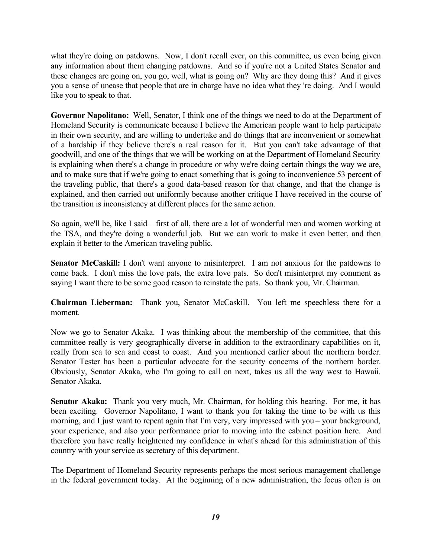what they're doing on patdowns. Now, I don't recall ever, on this committee, us even being given any information about them changing patdowns. And so if you're not a United States Senator and these changes are going on, you go, well, what is going on? Why are they doing this? And it gives you a sense of unease that people that are in charge have no idea what they 're doing. And I would like you to speak to that.

**Governor Napolitano:** Well, Senator, I think one of the things we need to do at the Department of Homeland Security is communicate because I believe the American people want to help participate in their own security, and are willing to undertake and do things that are inconvenient or somewhat of a hardship if they believe there's a real reason for it. But you can't take advantage of that goodwill, and one of the things that we will be working on at the Department of Homeland Security is explaining when there's a change in procedure or why we're doing certain things the way we are, and to make sure that if we're going to enact something that is going to inconvenience 53 percent of the traveling public, that there's a good data-based reason for that change, and that the change is explained, and then carried out uniformly because another critique I have received in the course of the transition is inconsistency at different places for the same action.

So again, we'll be, like I said – first of all, there are a lot of wonderful men and women working at the TSA, and they're doing a wonderful job. But we can work to make it even better, and then explain it better to the American traveling public.

**Senator McCaskill:** I don't want anyone to misinterpret. I am not anxious for the patdowns to come back. I don't miss the love pats, the extra love pats. So don't misinterpret my comment as saying I want there to be some good reason to reinstate the pats. So thank you, Mr. Chairman.

**Chairman Lieberman:** Thank you, Senator McCaskill. You left me speechless there for a moment.

Now we go to Senator Akaka. I was thinking about the membership of the committee, that this committee really is very geographically diverse in addition to the extraordinary capabilities on it, really from sea to sea and coast to coast. And you mentioned earlier about the northern border. Senator Tester has been a particular advocate for the security concerns of the northern border. Obviously, Senator Akaka, who I'm going to call on next, takes us all the way west to Hawaii. Senator Akaka.

**Senator Akaka:** Thank you very much, Mr. Chairman, for holding this hearing. For me, it has been exciting. Governor Napolitano, I want to thank you for taking the time to be with us this morning, and I just want to repeat again that I'm very, very impressed with you – your background, your experience, and also your performance prior to moving into the cabinet position here. And therefore you have really heightened my confidence in what's ahead for this administration of this country with your service as secretary of this department.

The Department of Homeland Security represents perhaps the most serious management challenge in the federal government today. At the beginning of a new administration, the focus often is on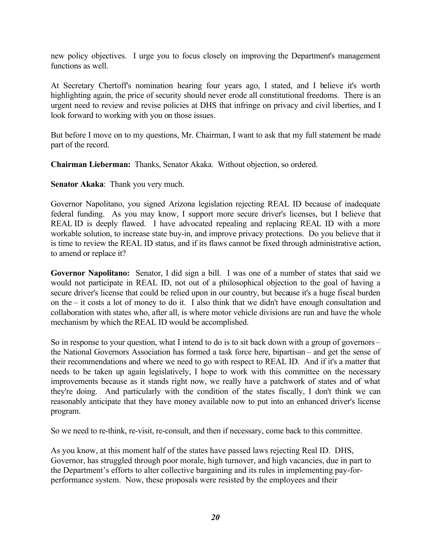new policy objectives. I urge you to focus closely on improving the Department's management functions as well.

At Secretary Chertoff's nomination hearing four years ago, I stated, and I believe it's worth highlighting again, the price of security should never erode all constitutional freedoms. There is an urgent need to review and revise policies at DHS that infringe on privacy and civil liberties, and I look forward to working with you on those issues.

But before I move on to my questions, Mr. Chairman, I want to ask that my full statement be made part of the record.

**Chairman Lieberman:** Thanks, Senator Akaka. Without objection, so ordered.

**Senator Akaka**: Thank you very much.

Governor Napolitano, you signed Arizona legislation rejecting REAL ID because of inadequate federal funding. As you may know, I support more secure driver's licenses, but I believe that REAL ID is deeply flawed. I have advocated repealing and replacing REAL ID with a more workable solution, to increase state buy-in, and improve privacy protections. Do you believe that it is time to review the REAL ID status, and if its flaws cannot be fixed through administrative action, to amend or replace it?

**Governor Napolitano:** Senator, I did sign a bill. I was one of a number of states that said we would not participate in REAL ID, not out of a philosophical objection to the goal of having a secure driver's license that could be relied upon in our country, but because it's a huge fiscal burden on the – it costs a lot of money to do it. I also think that we didn't have enough consultation and collaboration with states who, after all, is where motor vehicle divisions are run and have the whole mechanism by which the REAL ID would be accomplished.

So in response to your question, what I intend to do is to sit back down with a group of governors – the National Governors Association has formed a task force here, bipartisan – and get the sense of their recommendations and where we need to go with respect to REAL ID. And if it's a matter that needs to be taken up again legislatively, I hope to work with this committee on the necessary improvements because as it stands right now, we really have a patchwork of states and of what they're doing. And particularly with the condition of the states fiscally, I don't think we can reasonably anticipate that they have money available now to put into an enhanced driver's license program.

So we need to re-think, re-visit, re-consult, and then if necessary, come back to this committee.

As you know, at this moment half of the states have passed laws rejecting Real ID. DHS, Governor, has struggled through poor morale, high turnover, and high vacancies, due in part to the Department's efforts to alter collective bargaining and its rules in implementing pay-forperformance system. Now, these proposals were resisted by the employees and their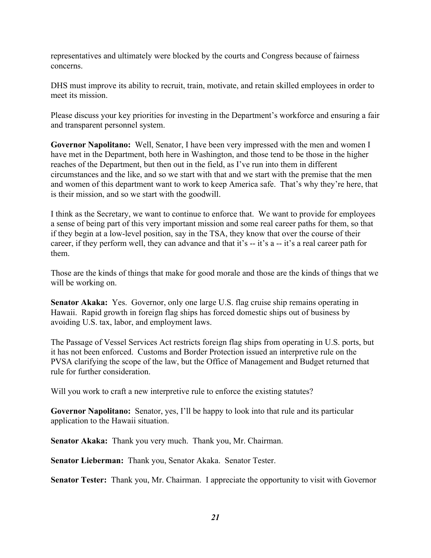representatives and ultimately were blocked by the courts and Congress because of fairness concerns.

DHS must improve its ability to recruit, train, motivate, and retain skilled employees in order to meet its mission.

Please discuss your key priorities for investing in the Department's workforce and ensuring a fair and transparent personnel system.

**Governor Napolitano:** Well, Senator, I have been very impressed with the men and women I have met in the Department, both here in Washington, and those tend to be those in the higher reaches of the Department, but then out in the field, as I've run into them in different circumstances and the like, and so we start with that and we start with the premise that the men and women of this department want to work to keep America safe. That's why they're here, that is their mission, and so we start with the goodwill.

I think as the Secretary, we want to continue to enforce that. We want to provide for employees a sense of being part of this very important mission and some real career paths for them, so that if they begin at a low-level position, say in the TSA, they know that over the course of their career, if they perform well, they can advance and that it's -- it's a -- it's a real career path for them.

Those are the kinds of things that make for good morale and those are the kinds of things that we will be working on.

**Senator Akaka:** Yes. Governor, only one large U.S. flag cruise ship remains operating in Hawaii. Rapid growth in foreign flag ships has forced domestic ships out of business by avoiding U.S. tax, labor, and employment laws.

The Passage of Vessel Services Act restricts foreign flag ships from operating in U.S. ports, but it has not been enforced. Customs and Border Protection issued an interpretive rule on the PVSA clarifying the scope of the law, but the Office of Management and Budget returned that rule for further consideration.

Will you work to craft a new interpretive rule to enforce the existing statutes?

**Governor Napolitano:** Senator, yes, I'll be happy to look into that rule and its particular application to the Hawaii situation.

**Senator Akaka:** Thank you very much. Thank you, Mr. Chairman.

**Senator Lieberman:** Thank you, Senator Akaka. Senator Tester.

**Senator Tester:** Thank you, Mr. Chairman. I appreciate the opportunity to visit with Governor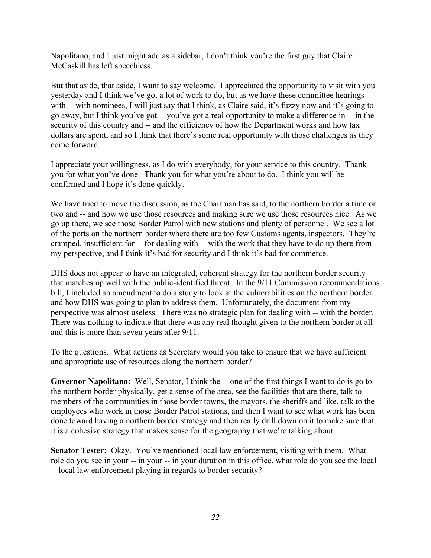Napolitano, and I just might add as a sidebar, I don't think you're the first guy that Claire McCaskill has left speechless.

But that aside, that aside, I want to say welcome. I appreciated the opportunity to visit with you yesterday and I think we've got a lot of work to do, but as we have these committee hearings with -- with nominees, I will just say that I think, as Claire said, it's fuzzy now and it's going to go away, but I think you've got -- you've got a real opportunity to make a difference in -- in the security of this country and -- and the efficiency of how the Department works and how tax dollars are spent, and so I think that there's some real opportunity with those challenges as they come forward.

I appreciate your willingness, as I do with everybody, for your service to this country. Thank you for what you've done. Thank you for what you're about to do. I think you will be confirmed and I hope it's done quickly.

We have tried to move the discussion, as the Chairman has said, to the northern border a time or two and -- and how we use those resources and making sure we use those resources nice. As we go up there, we see those Border Patrol with new stations and plenty of personnel. We see a lot of the ports on the northern border where there are too few Customs agents, inspectors. They're cramped, insufficient for -- for dealing with -- with the work that they have to do up there from my perspective, and I think it's bad for security and I think it's bad for commerce.

DHS does not appear to have an integrated, coherent strategy for the northern border security that matches up well with the public-identified threat. In the 9/11 Commission recommendations bill, I included an amendment to do a study to look at the vulnerabilities on the northern border and how DHS was going to plan to address them. Unfortunately, the document from my perspective was almost useless. There was no strategic plan for dealing with -- with the border. There was nothing to indicate that there was any real thought given to the northern border at all and this is more than seven years after 9/11.

To the questions. What actions as Secretary would you take to ensure that we have sufficient and appropriate use of resources along the northern border?

**Governor Napolitano:** Well, Senator, I think the -- one of the first things I want to do is go to the northern border physically, get a sense of the area, see the facilities that are there, talk to members of the communities in those border towns, the mayors, the sheriffs and like, talk to the employees who work in those Border Patrol stations, and then I want to see what work has been done toward having a northern border strategy and then really drill down on it to make sure that it is a cohesive strategy that makes sense for the geography that we're talking about.

**Senator Tester:** Okay. You've mentioned local law enforcement, visiting with them. What role do you see in your -- in your -- in your duration in this office, what role do you see the local -- local law enforcement playing in regards to border security?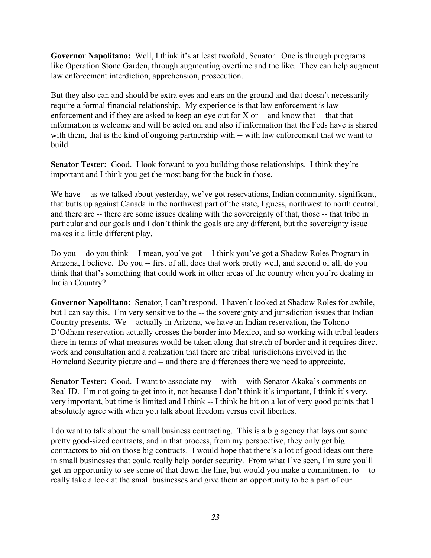**Governor Napolitano:** Well, I think it's at least twofold, Senator. One is through programs like Operation Stone Garden, through augmenting overtime and the like. They can help augment law enforcement interdiction, apprehension, prosecution.

But they also can and should be extra eyes and ears on the ground and that doesn't necessarily require a formal financial relationship. My experience is that law enforcement is law enforcement and if they are asked to keep an eye out for X or -- and know that -- that that information is welcome and will be acted on, and also if information that the Feds have is shared with them, that is the kind of ongoing partnership with -- with law enforcement that we want to build.

**Senator Tester:** Good. I look forward to you building those relationships. I think they're important and I think you get the most bang for the buck in those.

We have -- as we talked about yesterday, we've got reservations, Indian community, significant, that butts up against Canada in the northwest part of the state, I guess, northwest to north central, and there are -- there are some issues dealing with the sovereignty of that, those -- that tribe in particular and our goals and I don't think the goals are any different, but the sovereignty issue makes it a little different play.

Do you -- do you think -- I mean, you've got -- I think you've got a Shadow Roles Program in Arizona, I believe. Do you -- first of all, does that work pretty well, and second of all, do you think that that's something that could work in other areas of the country when you're dealing in Indian Country?

**Governor Napolitano:** Senator, I can't respond. I haven't looked at Shadow Roles for awhile, but I can say this. I'm very sensitive to the -- the sovereignty and jurisdiction issues that Indian Country presents. We -- actually in Arizona, we have an Indian reservation, the Tohono D'Odham reservation actually crosses the border into Mexico, and so working with tribal leaders there in terms of what measures would be taken along that stretch of border and it requires direct work and consultation and a realization that there are tribal jurisdictions involved in the Homeland Security picture and -- and there are differences there we need to appreciate.

**Senator Tester:** Good. I want to associate my -- with -- with Senator Akaka's comments on Real ID. I'm not going to get into it, not because I don't think it's important, I think it's very, very important, but time is limited and I think -- I think he hit on a lot of very good points that I absolutely agree with when you talk about freedom versus civil liberties.

I do want to talk about the small business contracting. This is a big agency that lays out some pretty good-sized contracts, and in that process, from my perspective, they only get big contractors to bid on those big contracts. I would hope that there's a lot of good ideas out there in small businesses that could really help border security. From what I've seen, I'm sure you'll get an opportunity to see some of that down the line, but would you make a commitment to -- to really take a look at the small businesses and give them an opportunity to be a part of our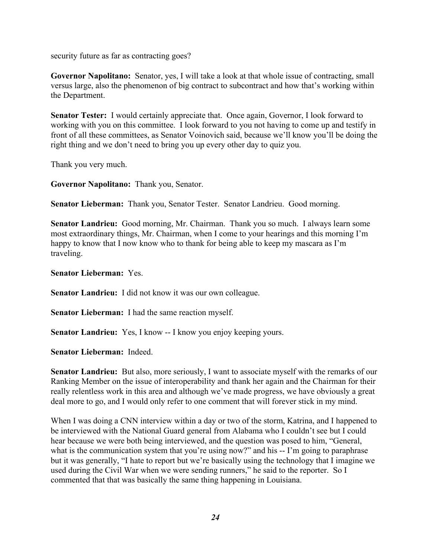security future as far as contracting goes?

**Governor Napolitano:** Senator, yes, I will take a look at that whole issue of contracting, small versus large, also the phenomenon of big contract to subcontract and how that's working within the Department.

**Senator Tester:** I would certainly appreciate that. Once again, Governor, I look forward to working with you on this committee. I look forward to you not having to come up and testify in front of all these committees, as Senator Voinovich said, because we'll know you'll be doing the right thing and we don't need to bring you up every other day to quiz you.

Thank you very much.

**Governor Napolitano:** Thank you, Senator.

**Senator Lieberman:** Thank you, Senator Tester. Senator Landrieu. Good morning.

**Senator Landrieu:** Good morning, Mr. Chairman. Thank you so much. I always learn some most extraordinary things, Mr. Chairman, when I come to your hearings and this morning I'm happy to know that I now know who to thank for being able to keep my mascara as I'm traveling.

**Senator Lieberman:** Yes.

**Senator Landrieu:** I did not know it was our own colleague.

**Senator Lieberman:** I had the same reaction myself.

**Senator Landrieu:** Yes, I know -- I know you enjoy keeping yours.

**Senator Lieberman:** Indeed.

**Senator Landrieu:** But also, more seriously, I want to associate myself with the remarks of our Ranking Member on the issue of interoperability and thank her again and the Chairman for their really relentless work in this area and although we've made progress, we have obviously a great deal more to go, and I would only refer to one comment that will forever stick in my mind.

When I was doing a CNN interview within a day or two of the storm, Katrina, and I happened to be interviewed with the National Guard general from Alabama who I couldn't see but I could hear because we were both being interviewed, and the question was posed to him, "General, what is the communication system that you're using now?" and his -- I'm going to paraphrase but it was generally, "I hate to report but we're basically using the technology that I imagine we used during the Civil War when we were sending runners," he said to the reporter. So I commented that that was basically the same thing happening in Louisiana.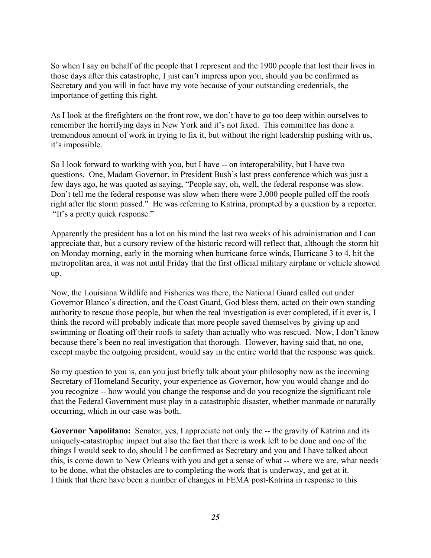So when I say on behalf of the people that I represent and the 1900 people that lost their lives in those days after this catastrophe, I just can't impress upon you, should you be confirmed as Secretary and you will in fact have my vote because of your outstanding credentials, the importance of getting this right.

As I look at the firefighters on the front row, we don't have to go too deep within ourselves to remember the horrifying days in New York and it's not fixed. This committee has done a tremendous amount of work in trying to fix it, but without the right leadership pushing with us, it's impossible.

So I look forward to working with you, but I have -- on interoperability, but I have two questions. One, Madam Governor, in President Bush's last press conference which was just a few days ago, he was quoted as saying, "People say, oh, well, the federal response was slow. Don't tell me the federal response was slow when there were 3,000 people pulled off the roofs right after the storm passed." He was referring to Katrina, prompted by a question by a reporter. "It's a pretty quick response."

Apparently the president has a lot on his mind the last two weeks of his administration and I can appreciate that, but a cursory review of the historic record will reflect that, although the storm hit on Monday morning, early in the morning when hurricane force winds, Hurricane 3 to 4, hit the metropolitan area, it was not until Friday that the first official military airplane or vehicle showed up.

Now, the Louisiana Wildlife and Fisheries was there, the National Guard called out under Governor Blanco's direction, and the Coast Guard, God bless them, acted on their own standing authority to rescue those people, but when the real investigation is ever completed, if it ever is, I think the record will probably indicate that more people saved themselves by giving up and swimming or floating off their roofs to safety than actually who was rescued. Now, I don't know because there's been no real investigation that thorough. However, having said that, no one, except maybe the outgoing president, would say in the entire world that the response was quick.

So my question to you is, can you just briefly talk about your philosophy now as the incoming Secretary of Homeland Security, your experience as Governor, how you would change and do you recognize -- how would you change the response and do you recognize the significant role that the Federal Government must play in a catastrophic disaster, whether manmade or naturally occurring, which in our case was both.

**Governor Napolitano:** Senator, yes, I appreciate not only the -- the gravity of Katrina and its uniquely-catastrophic impact but also the fact that there is work left to be done and one of the things I would seek to do, should I be confirmed as Secretary and you and I have talked about this, is come down to New Orleans with you and get a sense of what -- where we are, what needs to be done, what the obstacles are to completing the work that is underway, and get at it. I think that there have been a number of changes in FEMA post-Katrina in response to this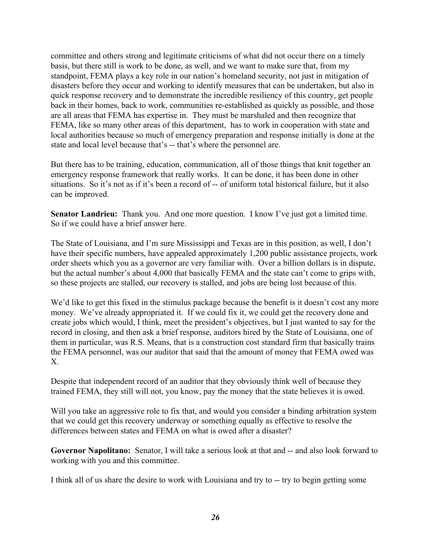committee and others strong and legitimate criticisms of what did not occur there on a timely basis, but there still is work to be done, as well, and we want to make sure that, from my standpoint, FEMA plays a key role in our nation's homeland security, not just in mitigation of disasters before they occur and working to identify measures that can be undertaken, but also in quick response recovery and to demonstrate the incredible resiliency of this country, get people back in their homes, back to work, communities re-established as quickly as possible, and those are all areas that FEMA has expertise in. They must be marshaled and then recognize that FEMA, like so many other areas of this department, has to work in cooperation with state and local authorities because so much of emergency preparation and response initially is done at the state and local level because that's -- that's where the personnel are.

But there has to be training, education, communication, all of those things that knit together an emergency response framework that really works. It can be done, it has been done in other situations. So it's not as if it's been a record of -- of uniform total historical failure, but it also can be improved.

**Senator Landrieu:** Thank you. And one more question. I know I've just got a limited time. So if we could have a brief answer here.

The State of Louisiana, and I'm sure Mississippi and Texas are in this position, as well, I don't have their specific numbers, have appealed approximately 1,200 public assistance projects, work order sheets which you as a governor are very familiar with. Over a billion dollars is in dispute, but the actual number's about 4,000 that basically FEMA and the state can't come to grips with, so these projects are stalled, our recovery is stalled, and jobs are being lost because of this.

We'd like to get this fixed in the stimulus package because the benefit is it doesn't cost any more money. We've already appropriated it. If we could fix it, we could get the recovery done and create jobs which would, I think, meet the president's objectives, but I just wanted to say for the record in closing, and then ask a brief response, auditors hired by the State of Louisiana, one of them in particular, was R.S. Means, that is a construction cost standard firm that basically trains the FEMA personnel, was our auditor that said that the amount of money that FEMA owed was X.

Despite that independent record of an auditor that they obviously think well of because they trained FEMA, they still will not, you know, pay the money that the state believes it is owed.

Will you take an aggressive role to fix that, and would you consider a binding arbitration system that we could get this recovery underway or something equally as effective to resolve the differences between states and FEMA on what is owed after a disaster?

**Governor Napolitano:** Senator, I will take a serious look at that and -- and also look forward to working with you and this committee.

I think all of us share the desire to work with Louisiana and try to -- try to begin getting some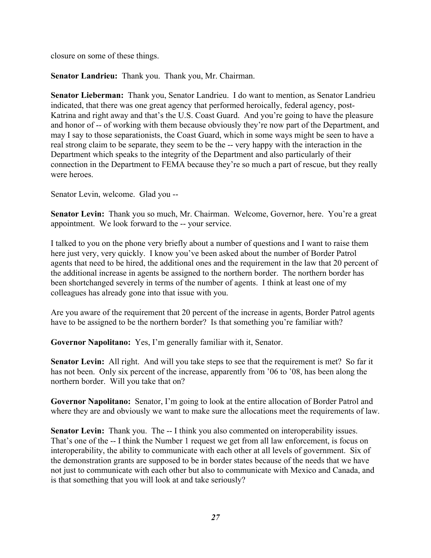closure on some of these things.

**Senator Landrieu:** Thank you. Thank you, Mr. Chairman.

**Senator Lieberman:** Thank you, Senator Landrieu. I do want to mention, as Senator Landrieu indicated, that there was one great agency that performed heroically, federal agency, post-Katrina and right away and that's the U.S. Coast Guard. And you're going to have the pleasure and honor of -- of working with them because obviously they're now part of the Department, and may I say to those separationists, the Coast Guard, which in some ways might be seen to have a real strong claim to be separate, they seem to be the -- very happy with the interaction in the Department which speaks to the integrity of the Department and also particularly of their connection in the Department to FEMA because they're so much a part of rescue, but they really were heroes.

Senator Levin, welcome. Glad you --

**Senator Levin:** Thank you so much, Mr. Chairman. Welcome, Governor, here. You're a great appointment. We look forward to the -- your service.

I talked to you on the phone very briefly about a number of questions and I want to raise them here just very, very quickly. I know you've been asked about the number of Border Patrol agents that need to be hired, the additional ones and the requirement in the law that 20 percent of the additional increase in agents be assigned to the northern border. The northern border has been shortchanged severely in terms of the number of agents. I think at least one of my colleagues has already gone into that issue with you.

Are you aware of the requirement that 20 percent of the increase in agents, Border Patrol agents have to be assigned to be the northern border? Is that something you're familiar with?

**Governor Napolitano:** Yes, I'm generally familiar with it, Senator.

**Senator Levin:** All right. And will you take steps to see that the requirement is met? So far it has not been. Only six percent of the increase, apparently from '06 to '08, has been along the northern border. Will you take that on?

**Governor Napolitano:** Senator, I'm going to look at the entire allocation of Border Patrol and where they are and obviously we want to make sure the allocations meet the requirements of law.

**Senator Levin:** Thank you. The -- I think you also commented on interoperability issues. That's one of the -- I think the Number 1 request we get from all law enforcement, is focus on interoperability, the ability to communicate with each other at all levels of government. Six of the demonstration grants are supposed to be in border states because of the needs that we have not just to communicate with each other but also to communicate with Mexico and Canada, and is that something that you will look at and take seriously?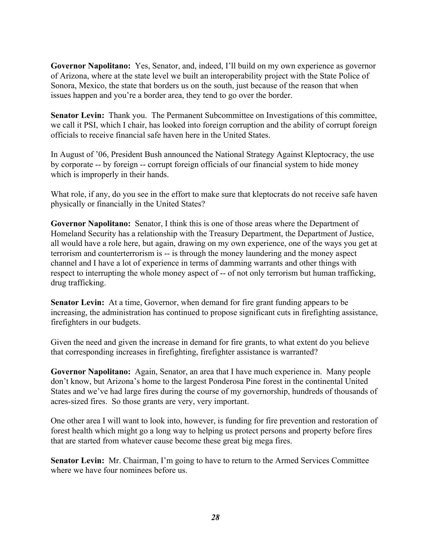**Governor Napolitano:** Yes, Senator, and, indeed, I'll build on my own experience as governor of Arizona, where at the state level we built an interoperability project with the State Police of Sonora, Mexico, the state that borders us on the south, just because of the reason that when issues happen and you're a border area, they tend to go over the border.

**Senator Levin:** Thank you. The Permanent Subcommittee on Investigations of this committee, we call it PSI, which I chair, has looked into foreign corruption and the ability of corrupt foreign officials to receive financial safe haven here in the United States.

In August of '06, President Bush announced the National Strategy Against Kleptocracy, the use by corporate -- by foreign -- corrupt foreign officials of our financial system to hide money which is improperly in their hands.

What role, if any, do you see in the effort to make sure that kleptocrats do not receive safe haven physically or financially in the United States?

**Governor Napolitano:** Senator, I think this is one of those areas where the Department of Homeland Security has a relationship with the Treasury Department, the Department of Justice, all would have a role here, but again, drawing on my own experience, one of the ways you get at terrorism and counterterrorism is -- is through the money laundering and the money aspect channel and I have a lot of experience in terms of damming warrants and other things with respect to interrupting the whole money aspect of -- of not only terrorism but human trafficking, drug trafficking.

**Senator Levin:** At a time, Governor, when demand for fire grant funding appears to be increasing, the administration has continued to propose significant cuts in firefighting assistance, firefighters in our budgets.

Given the need and given the increase in demand for fire grants, to what extent do you believe that corresponding increases in firefighting, firefighter assistance is warranted?

**Governor Napolitano:** Again, Senator, an area that I have much experience in. Many people don't know, but Arizona's home to the largest Ponderosa Pine forest in the continental United States and we've had large fires during the course of my governorship, hundreds of thousands of acres-sized fires. So those grants are very, very important.

One other area I will want to look into, however, is funding for fire prevention and restoration of forest health which might go a long way to helping us protect persons and property before fires that are started from whatever cause become these great big mega fires.

**Senator Levin:** Mr. Chairman, I'm going to have to return to the Armed Services Committee where we have four nominees before us.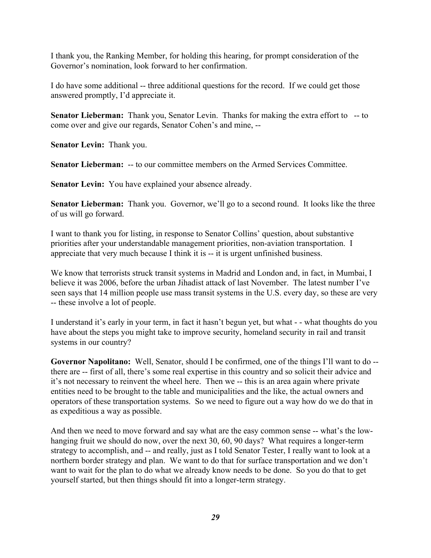I thank you, the Ranking Member, for holding this hearing, for prompt consideration of the Governor's nomination, look forward to her confirmation.

I do have some additional -- three additional questions for the record. If we could get those answered promptly, I'd appreciate it.

**Senator Lieberman:** Thank you, Senator Levin. Thanks for making the extra effort to -- to come over and give our regards, Senator Cohen's and mine, --

**Senator Levin:** Thank you.

**Senator Lieberman:** -- to our committee members on the Armed Services Committee.

**Senator Levin:** You have explained your absence already.

**Senator Lieberman:** Thank you. Governor, we'll go to a second round. It looks like the three of us will go forward.

I want to thank you for listing, in response to Senator Collins' question, about substantive priorities after your understandable management priorities, non-aviation transportation. I appreciate that very much because I think it is -- it is urgent unfinished business.

We know that terrorists struck transit systems in Madrid and London and, in fact, in Mumbai, I believe it was 2006, before the urban Jihadist attack of last November. The latest number I've seen says that 14 million people use mass transit systems in the U.S. every day, so these are very -- these involve a lot of people.

I understand it's early in your term, in fact it hasn't begun yet, but what - - what thoughts do you have about the steps you might take to improve security, homeland security in rail and transit systems in our country?

**Governor Napolitano:** Well, Senator, should I be confirmed, one of the things I'll want to do - there are -- first of all, there's some real expertise in this country and so solicit their advice and it's not necessary to reinvent the wheel here. Then we -- this is an area again where private entities need to be brought to the table and municipalities and the like, the actual owners and operators of these transportation systems. So we need to figure out a way how do we do that in as expeditious a way as possible.

And then we need to move forward and say what are the easy common sense -- what's the lowhanging fruit we should do now, over the next 30, 60, 90 days? What requires a longer-term strategy to accomplish, and -- and really, just as I told Senator Tester, I really want to look at a northern border strategy and plan. We want to do that for surface transportation and we don't want to wait for the plan to do what we already know needs to be done. So you do that to get yourself started, but then things should fit into a longer-term strategy.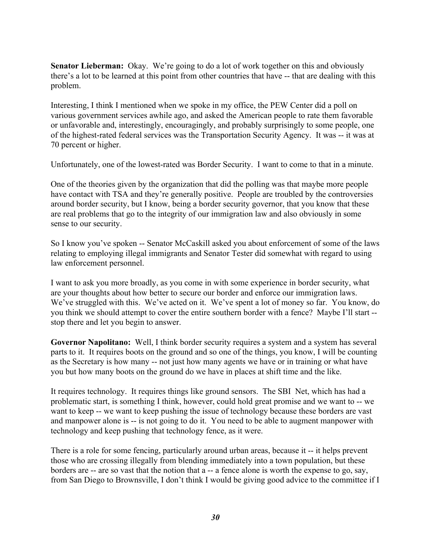**Senator Lieberman:** Okay. We're going to do a lot of work together on this and obviously there's a lot to be learned at this point from other countries that have -- that are dealing with this problem.

Interesting, I think I mentioned when we spoke in my office, the PEW Center did a poll on various government services awhile ago, and asked the American people to rate them favorable or unfavorable and, interestingly, encouragingly, and probably surprisingly to some people, one of the highest-rated federal services was the Transportation Security Agency. It was -- it was at 70 percent or higher.

Unfortunately, one of the lowest-rated was Border Security. I want to come to that in a minute.

One of the theories given by the organization that did the polling was that maybe more people have contact with TSA and they're generally positive. People are troubled by the controversies around border security, but I know, being a border security governor, that you know that these are real problems that go to the integrity of our immigration law and also obviously in some sense to our security.

So I know you've spoken -- Senator McCaskill asked you about enforcement of some of the laws relating to employing illegal immigrants and Senator Tester did somewhat with regard to using law enforcement personnel.

I want to ask you more broadly, as you come in with some experience in border security, what are your thoughts about how better to secure our border and enforce our immigration laws. We've struggled with this. We've acted on it. We've spent a lot of money so far. You know, do you think we should attempt to cover the entire southern border with a fence? Maybe I'll start - stop there and let you begin to answer.

**Governor Napolitano:** Well, I think border security requires a system and a system has several parts to it. It requires boots on the ground and so one of the things, you know, I will be counting as the Secretary is how many -- not just how many agents we have or in training or what have you but how many boots on the ground do we have in places at shift time and the like.

It requires technology. It requires things like ground sensors. The SBI Net, which has had a problematic start, is something I think, however, could hold great promise and we want to -- we want to keep -- we want to keep pushing the issue of technology because these borders are vast and manpower alone is -- is not going to do it. You need to be able to augment manpower with technology and keep pushing that technology fence, as it were.

There is a role for some fencing, particularly around urban areas, because it -- it helps prevent those who are crossing illegally from blending immediately into a town population, but these borders are -- are so vast that the notion that a -- a fence alone is worth the expense to go, say, from San Diego to Brownsville, I don't think I would be giving good advice to the committee if I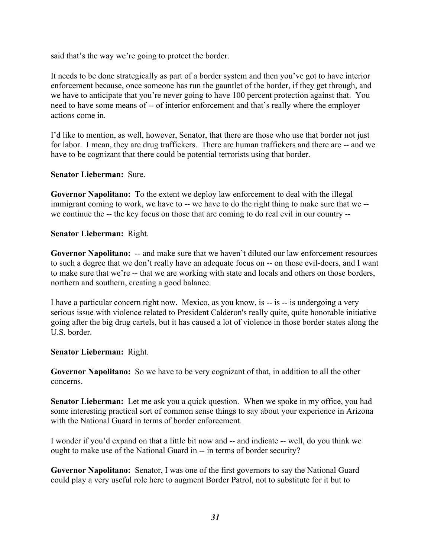said that's the way we're going to protect the border.

It needs to be done strategically as part of a border system and then you've got to have interior enforcement because, once someone has run the gauntlet of the border, if they get through, and we have to anticipate that you're never going to have 100 percent protection against that. You need to have some means of -- of interior enforcement and that's really where the employer actions come in.

I'd like to mention, as well, however, Senator, that there are those who use that border not just for labor. I mean, they are drug traffickers. There are human traffickers and there are -- and we have to be cognizant that there could be potential terrorists using that border.

## **Senator Lieberman:** Sure.

**Governor Napolitano:** To the extent we deploy law enforcement to deal with the illegal immigrant coming to work, we have to -- we have to do the right thing to make sure that we -we continue the -- the key focus on those that are coming to do real evil in our country --

### **Senator Lieberman:** Right.

**Governor Napolitano:** -- and make sure that we haven't diluted our law enforcement resources to such a degree that we don't really have an adequate focus on -- on those evil-doers, and I want to make sure that we're -- that we are working with state and locals and others on those borders, northern and southern, creating a good balance.

I have a particular concern right now. Mexico, as you know, is -- is -- is undergoing a very serious issue with violence related to President Calderon's really quite, quite honorable initiative going after the big drug cartels, but it has caused a lot of violence in those border states along the U.S. border.

### **Senator Lieberman:** Right.

**Governor Napolitano:** So we have to be very cognizant of that, in addition to all the other concerns.

**Senator Lieberman:** Let me ask you a quick question. When we spoke in my office, you had some interesting practical sort of common sense things to say about your experience in Arizona with the National Guard in terms of border enforcement.

I wonder if you'd expand on that a little bit now and -- and indicate -- well, do you think we ought to make use of the National Guard in -- in terms of border security?

**Governor Napolitano:** Senator, I was one of the first governors to say the National Guard could play a very useful role here to augment Border Patrol, not to substitute for it but to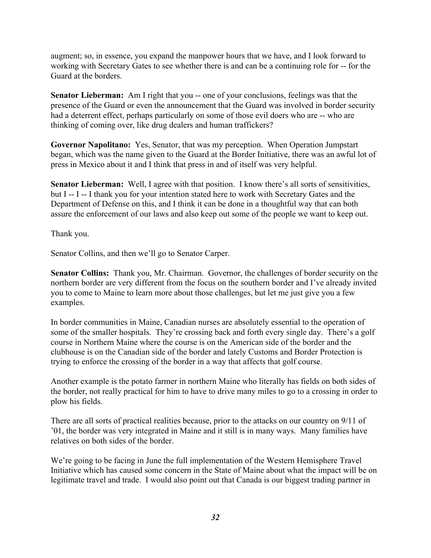augment; so, in essence, you expand the manpower hours that we have, and I look forward to working with Secretary Gates to see whether there is and can be a continuing role for -- for the Guard at the borders.

**Senator Lieberman:** Am I right that you -- one of your conclusions, feelings was that the presence of the Guard or even the announcement that the Guard was involved in border security had a deterrent effect, perhaps particularly on some of those evil doers who are -- who are thinking of coming over, like drug dealers and human traffickers?

**Governor Napolitano:** Yes, Senator, that was my perception. When Operation Jumpstart began, which was the name given to the Guard at the Border Initiative, there was an awful lot of press in Mexico about it and I think that press in and of itself was very helpful.

**Senator Lieberman:** Well, I agree with that position. I know there's all sorts of sensitivities, but I -- I -- I thank you for your intention stated here to work with Secretary Gates and the Department of Defense on this, and I think it can be done in a thoughtful way that can both assure the enforcement of our laws and also keep out some of the people we want to keep out.

Thank you.

Senator Collins, and then we'll go to Senator Carper.

**Senator Collins:** Thank you, Mr. Chairman. Governor, the challenges of border security on the northern border are very different from the focus on the southern border and I've already invited you to come to Maine to learn more about those challenges, but let me just give you a few examples.

In border communities in Maine, Canadian nurses are absolutely essential to the operation of some of the smaller hospitals. They're crossing back and forth every single day. There's a golf course in Northern Maine where the course is on the American side of the border and the clubhouse is on the Canadian side of the border and lately Customs and Border Protection is trying to enforce the crossing of the border in a way that affects that golf course.

Another example is the potato farmer in northern Maine who literally has fields on both sides of the border, not really practical for him to have to drive many miles to go to a crossing in order to plow his fields.

There are all sorts of practical realities because, prior to the attacks on our country on 9/11 of '01, the border was very integrated in Maine and it still is in many ways. Many families have relatives on both sides of the border.

We're going to be facing in June the full implementation of the Western Hemisphere Travel Initiative which has caused some concern in the State of Maine about what the impact will be on legitimate travel and trade. I would also point out that Canada is our biggest trading partner in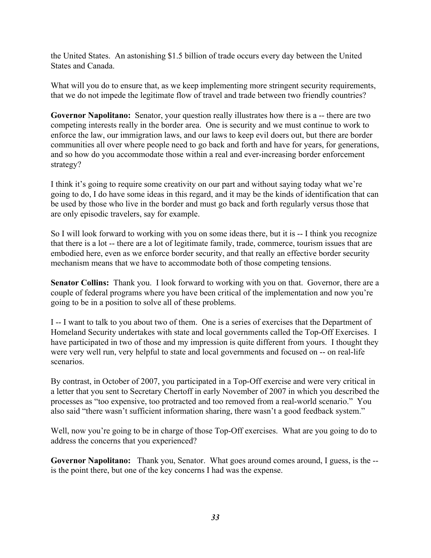the United States. An astonishing \$1.5 billion of trade occurs every day between the United States and Canada.

What will you do to ensure that, as we keep implementing more stringent security requirements, that we do not impede the legitimate flow of travel and trade between two friendly countries?

**Governor Napolitano:** Senator, your question really illustrates how there is a -- there are two competing interests really in the border area. One is security and we must continue to work to enforce the law, our immigration laws, and our laws to keep evil doers out, but there are border communities all over where people need to go back and forth and have for years, for generations, and so how do you accommodate those within a real and ever-increasing border enforcement strategy?

I think it's going to require some creativity on our part and without saying today what we're going to do, I do have some ideas in this regard, and it may be the kinds of identification that can be used by those who live in the border and must go back and forth regularly versus those that are only episodic travelers, say for example.

So I will look forward to working with you on some ideas there, but it is -- I think you recognize that there is a lot -- there are a lot of legitimate family, trade, commerce, tourism issues that are embodied here, even as we enforce border security, and that really an effective border security mechanism means that we have to accommodate both of those competing tensions.

**Senator Collins:** Thank you. I look forward to working with you on that. Governor, there are a couple of federal programs where you have been critical of the implementation and now you're going to be in a position to solve all of these problems.

I -- I want to talk to you about two of them. One is a series of exercises that the Department of Homeland Security undertakes with state and local governments called the Top-Off Exercises. I have participated in two of those and my impression is quite different from yours. I thought they were very well run, very helpful to state and local governments and focused on -- on real-life scenarios.

By contrast, in October of 2007, you participated in a Top-Off exercise and were very critical in a letter that you sent to Secretary Chertoff in early November of 2007 in which you described the processes as "too expensive, too protracted and too removed from a real-world scenario." You also said "there wasn't sufficient information sharing, there wasn't a good feedback system."

Well, now you're going to be in charge of those Top-Off exercises. What are you going to do to address the concerns that you experienced?

**Governor Napolitano:** Thank you, Senator. What goes around comes around, I guess, is the - is the point there, but one of the key concerns I had was the expense.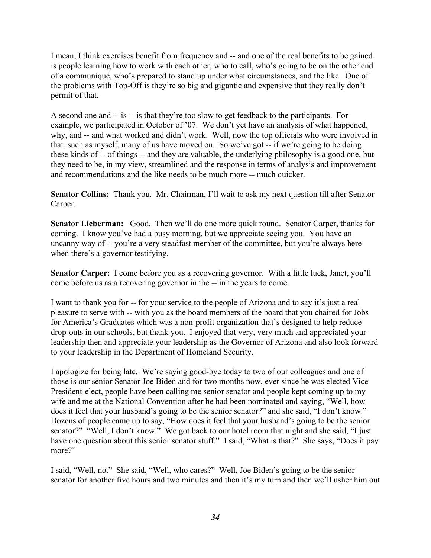I mean, I think exercises benefit from frequency and -- and one of the real benefits to be gained is people learning how to work with each other, who to call, who's going to be on the other end of a communiqué, who's prepared to stand up under what circumstances, and the like. One of the problems with Top-Off is they're so big and gigantic and expensive that they really don't permit of that.

A second one and -- is -- is that they're too slow to get feedback to the participants. For example, we participated in October of '07. We don't yet have an analysis of what happened, why, and -- and what worked and didn't work. Well, now the top officials who were involved in that, such as myself, many of us have moved on. So we've got -- if we're going to be doing these kinds of -- of things -- and they are valuable, the underlying philosophy is a good one, but they need to be, in my view, streamlined and the response in terms of analysis and improvement and recommendations and the like needs to be much more -- much quicker.

**Senator Collins:** Thank you. Mr. Chairman, I'll wait to ask my next question till after Senator Carper.

**Senator Lieberman:** Good. Then we'll do one more quick round. Senator Carper, thanks for coming. I know you've had a busy morning, but we appreciate seeing you. You have an uncanny way of -- you're a very steadfast member of the committee, but you're always here when there's a governor testifying.

**Senator Carper:** I come before you as a recovering governor. With a little luck, Janet, you'll come before us as a recovering governor in the -- in the years to come.

I want to thank you for -- for your service to the people of Arizona and to say it's just a real pleasure to serve with -- with you as the board members of the board that you chaired for Jobs for America's Graduates which was a non-profit organization that's designed to help reduce drop-outs in our schools, but thank you. I enjoyed that very, very much and appreciated your leadership then and appreciate your leadership as the Governor of Arizona and also look forward to your leadership in the Department of Homeland Security.

I apologize for being late. We're saying good-bye today to two of our colleagues and one of those is our senior Senator Joe Biden and for two months now, ever since he was elected Vice President-elect, people have been calling me senior senator and people kept coming up to my wife and me at the National Convention after he had been nominated and saying, "Well, how does it feel that your husband's going to be the senior senator?" and she said, "I don't know." Dozens of people came up to say, "How does it feel that your husband's going to be the senior senator?" "Well, I don't know." We got back to our hotel room that night and she said, "I just have one question about this senior senator stuff." I said, "What is that?" She says, "Does it pay more?"

I said, "Well, no." She said, "Well, who cares?" Well, Joe Biden's going to be the senior senator for another five hours and two minutes and then it's my turn and then we'll usher him out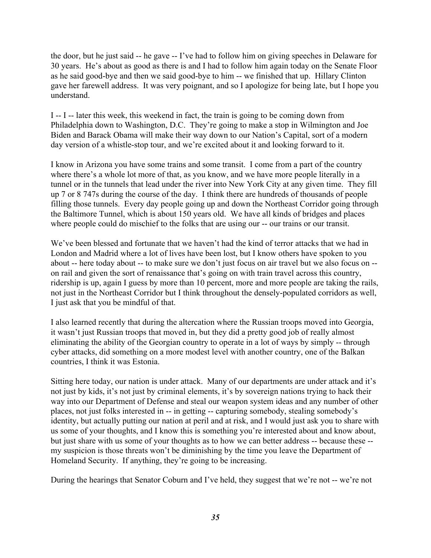the door, but he just said -- he gave -- I've had to follow him on giving speeches in Delaware for 30 years. He's about as good as there is and I had to follow him again today on the Senate Floor as he said good-bye and then we said good-bye to him -- we finished that up. Hillary Clinton gave her farewell address. It was very poignant, and so I apologize for being late, but I hope you understand.

I -- I -- later this week, this weekend in fact, the train is going to be coming down from Philadelphia down to Washington, D.C. They're going to make a stop in Wilmington and Joe Biden and Barack Obama will make their way down to our Nation's Capital, sort of a modern day version of a whistle-stop tour, and we're excited about it and looking forward to it.

I know in Arizona you have some trains and some transit. I come from a part of the country where there's a whole lot more of that, as you know, and we have more people literally in a tunnel or in the tunnels that lead under the river into New York City at any given time. They fill up 7 or 8 747s during the course of the day. I think there are hundreds of thousands of people filling those tunnels. Every day people going up and down the Northeast Corridor going through the Baltimore Tunnel, which is about 150 years old. We have all kinds of bridges and places where people could do mischief to the folks that are using our -- our trains or our transit.

We've been blessed and fortunate that we haven't had the kind of terror attacks that we had in London and Madrid where a lot of lives have been lost, but I know others have spoken to you about -- here today about -- to make sure we don't just focus on air travel but we also focus on - on rail and given the sort of renaissance that's going on with train travel across this country, ridership is up, again I guess by more than 10 percent, more and more people are taking the rails, not just in the Northeast Corridor but I think throughout the densely-populated corridors as well, I just ask that you be mindful of that.

I also learned recently that during the altercation where the Russian troops moved into Georgia, it wasn't just Russian troops that moved in, but they did a pretty good job of really almost eliminating the ability of the Georgian country to operate in a lot of ways by simply -- through cyber attacks, did something on a more modest level with another country, one of the Balkan countries, I think it was Estonia.

Sitting here today, our nation is under attack. Many of our departments are under attack and it's not just by kids, it's not just by criminal elements, it's by sovereign nations trying to hack their way into our Department of Defense and steal our weapon system ideas and any number of other places, not just folks interested in -- in getting -- capturing somebody, stealing somebody's identity, but actually putting our nation at peril and at risk, and I would just ask you to share with us some of your thoughts, and I know this is something you're interested about and know about, but just share with us some of your thoughts as to how we can better address -- because these - my suspicion is those threats won't be diminishing by the time you leave the Department of Homeland Security. If anything, they're going to be increasing.

During the hearings that Senator Coburn and I've held, they suggest that we're not -- we're not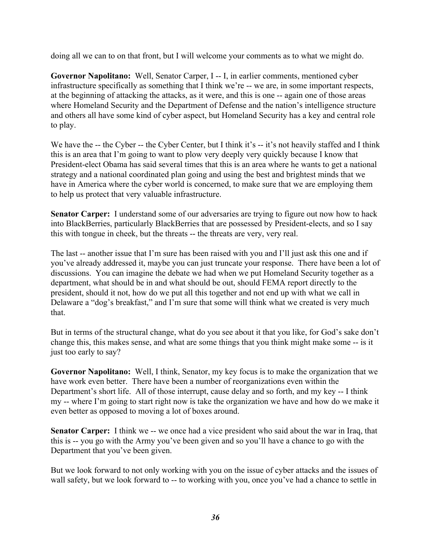doing all we can to on that front, but I will welcome your comments as to what we might do.

**Governor Napolitano:** Well, Senator Carper, I -- I, in earlier comments, mentioned cyber infrastructure specifically as something that I think we're -- we are, in some important respects, at the beginning of attacking the attacks, as it were, and this is one -- again one of those areas where Homeland Security and the Department of Defense and the nation's intelligence structure and others all have some kind of cyber aspect, but Homeland Security has a key and central role to play.

We have the -- the Cyber -- the Cyber Center, but I think it's -- it's not heavily staffed and I think this is an area that I'm going to want to plow very deeply very quickly because I know that President-elect Obama has said several times that this is an area where he wants to get a national strategy and a national coordinated plan going and using the best and brightest minds that we have in America where the cyber world is concerned, to make sure that we are employing them to help us protect that very valuable infrastructure.

**Senator Carper:** I understand some of our adversaries are trying to figure out now how to hack into BlackBerries, particularly BlackBerries that are possessed by President-elects, and so I say this with tongue in cheek, but the threats -- the threats are very, very real.

The last -- another issue that I'm sure has been raised with you and I'll just ask this one and if you've already addressed it, maybe you can just truncate your response. There have been a lot of discussions. You can imagine the debate we had when we put Homeland Security together as a department, what should be in and what should be out, should FEMA report directly to the president, should it not, how do we put all this together and not end up with what we call in Delaware a "dog's breakfast," and I'm sure that some will think what we created is very much that.

But in terms of the structural change, what do you see about it that you like, for God's sake don't change this, this makes sense, and what are some things that you think might make some -- is it just too early to say?

**Governor Napolitano:** Well, I think, Senator, my key focus is to make the organization that we have work even better. There have been a number of reorganizations even within the Department's short life. All of those interrupt, cause delay and so forth, and my key -- I think my -- where I'm going to start right now is take the organization we have and how do we make it even better as opposed to moving a lot of boxes around.

**Senator Carper:** I think we -- we once had a vice president who said about the war in Iraq, that this is -- you go with the Army you've been given and so you'll have a chance to go with the Department that you've been given.

But we look forward to not only working with you on the issue of cyber attacks and the issues of wall safety, but we look forward to -- to working with you, once you've had a chance to settle in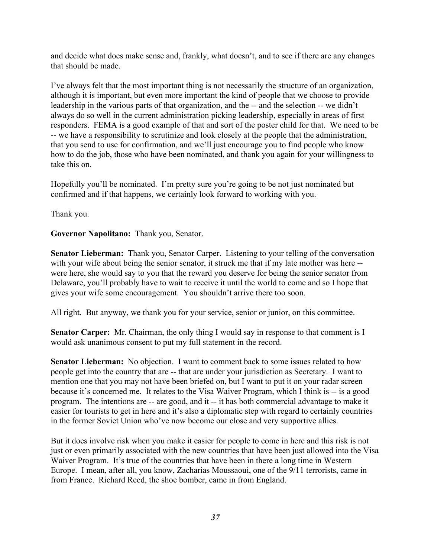and decide what does make sense and, frankly, what doesn't, and to see if there are any changes that should be made.

I've always felt that the most important thing is not necessarily the structure of an organization, although it is important, but even more important the kind of people that we choose to provide leadership in the various parts of that organization, and the -- and the selection -- we didn't always do so well in the current administration picking leadership, especially in areas of first responders. FEMA is a good example of that and sort of the poster child for that. We need to be -- we have a responsibility to scrutinize and look closely at the people that the administration, that you send to use for confirmation, and we'll just encourage you to find people who know how to do the job, those who have been nominated, and thank you again for your willingness to take this on.

Hopefully you'll be nominated. I'm pretty sure you're going to be not just nominated but confirmed and if that happens, we certainly look forward to working with you.

Thank you.

**Governor Napolitano:** Thank you, Senator.

**Senator Lieberman:** Thank you, Senator Carper. Listening to your telling of the conversation with your wife about being the senior senator, it struck me that if my late mother was here -were here, she would say to you that the reward you deserve for being the senior senator from Delaware, you'll probably have to wait to receive it until the world to come and so I hope that gives your wife some encouragement. You shouldn't arrive there too soon.

All right. But anyway, we thank you for your service, senior or junior, on this committee.

**Senator Carper:** Mr. Chairman, the only thing I would say in response to that comment is I would ask unanimous consent to put my full statement in the record.

**Senator Lieberman:** No objection. I want to comment back to some issues related to how people get into the country that are -- that are under your jurisdiction as Secretary. I want to mention one that you may not have been briefed on, but I want to put it on your radar screen because it's concerned me. It relates to the Visa Waiver Program, which I think is -- is a good program. The intentions are -- are good, and it -- it has both commercial advantage to make it easier for tourists to get in here and it's also a diplomatic step with regard to certainly countries in the former Soviet Union who've now become our close and very supportive allies.

But it does involve risk when you make it easier for people to come in here and this risk is not just or even primarily associated with the new countries that have been just allowed into the Visa Waiver Program. It's true of the countries that have been in there a long time in Western Europe. I mean, after all, you know, Zacharias Moussaoui, one of the 9/11 terrorists, came in from France. Richard Reed, the shoe bomber, came in from England.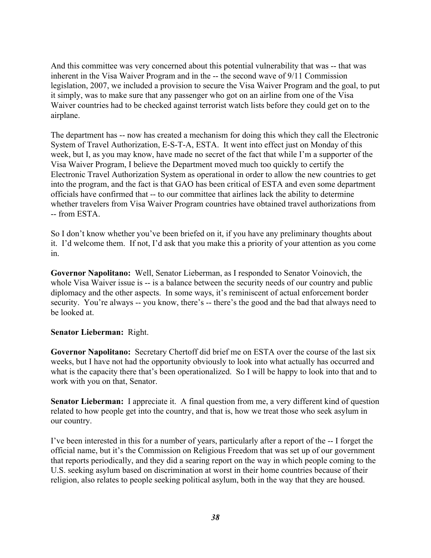And this committee was very concerned about this potential vulnerability that was -- that was inherent in the Visa Waiver Program and in the -- the second wave of 9/11 Commission legislation, 2007, we included a provision to secure the Visa Waiver Program and the goal, to put it simply, was to make sure that any passenger who got on an airline from one of the Visa Waiver countries had to be checked against terrorist watch lists before they could get on to the airplane.

The department has -- now has created a mechanism for doing this which they call the Electronic System of Travel Authorization, E-S-T-A, ESTA. It went into effect just on Monday of this week, but I, as you may know, have made no secret of the fact that while I'm a supporter of the Visa Waiver Program, I believe the Department moved much too quickly to certify the Electronic Travel Authorization System as operational in order to allow the new countries to get into the program, and the fact is that GAO has been critical of ESTA and even some department officials have confirmed that -- to our committee that airlines lack the ability to determine whether travelers from Visa Waiver Program countries have obtained travel authorizations from -- from ESTA.

So I don't know whether you've been briefed on it, if you have any preliminary thoughts about it. I'd welcome them. If not, I'd ask that you make this a priority of your attention as you come in.

**Governor Napolitano:** Well, Senator Lieberman, as I responded to Senator Voinovich, the whole Visa Waiver issue is -- is a balance between the security needs of our country and public diplomacy and the other aspects. In some ways, it's reminiscent of actual enforcement border security. You're always -- you know, there's -- there's the good and the bad that always need to be looked at.

### **Senator Lieberman:** Right.

**Governor Napolitano:** Secretary Chertoff did brief me on ESTA over the course of the last six weeks, but I have not had the opportunity obviously to look into what actually has occurred and what is the capacity there that's been operationalized. So I will be happy to look into that and to work with you on that, Senator.

**Senator Lieberman:** I appreciate it. A final question from me, a very different kind of question related to how people get into the country, and that is, how we treat those who seek asylum in our country.

I've been interested in this for a number of years, particularly after a report of the -- I forget the official name, but it's the Commission on Religious Freedom that was set up of our government that reports periodically, and they did a searing report on the way in which people coming to the U.S. seeking asylum based on discrimination at worst in their home countries because of their religion, also relates to people seeking political asylum, both in the way that they are housed.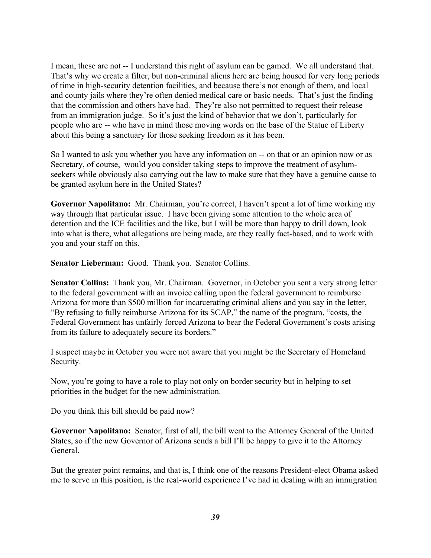I mean, these are not -- I understand this right of asylum can be gamed. We all understand that. That's why we create a filter, but non-criminal aliens here are being housed for very long periods of time in high-security detention facilities, and because there's not enough of them, and local and county jails where they're often denied medical care or basic needs. That's just the finding that the commission and others have had. They're also not permitted to request their release from an immigration judge. So it's just the kind of behavior that we don't, particularly for people who are -- who have in mind those moving words on the base of the Statue of Liberty about this being a sanctuary for those seeking freedom as it has been.

So I wanted to ask you whether you have any information on -- on that or an opinion now or as Secretary, of course, would you consider taking steps to improve the treatment of asylumseekers while obviously also carrying out the law to make sure that they have a genuine cause to be granted asylum here in the United States?

**Governor Napolitano:** Mr. Chairman, you're correct, I haven't spent a lot of time working my way through that particular issue. I have been giving some attention to the whole area of detention and the ICE facilities and the like, but I will be more than happy to drill down, look into what is there, what allegations are being made, are they really fact-based, and to work with you and your staff on this.

**Senator Lieberman:** Good. Thank you. Senator Collins.

**Senator Collins:** Thank you, Mr. Chairman. Governor, in October you sent a very strong letter to the federal government with an invoice calling upon the federal government to reimburse Arizona for more than \$500 million for incarcerating criminal aliens and you say in the letter, "By refusing to fully reimburse Arizona for its SCAP," the name of the program, "costs, the Federal Government has unfairly forced Arizona to bear the Federal Government's costs arising from its failure to adequately secure its borders."

I suspect maybe in October you were not aware that you might be the Secretary of Homeland Security.

Now, you're going to have a role to play not only on border security but in helping to set priorities in the budget for the new administration.

Do you think this bill should be paid now?

**Governor Napolitano:** Senator, first of all, the bill went to the Attorney General of the United States, so if the new Governor of Arizona sends a bill I'll be happy to give it to the Attorney General.

But the greater point remains, and that is, I think one of the reasons President-elect Obama asked me to serve in this position, is the real-world experience I've had in dealing with an immigration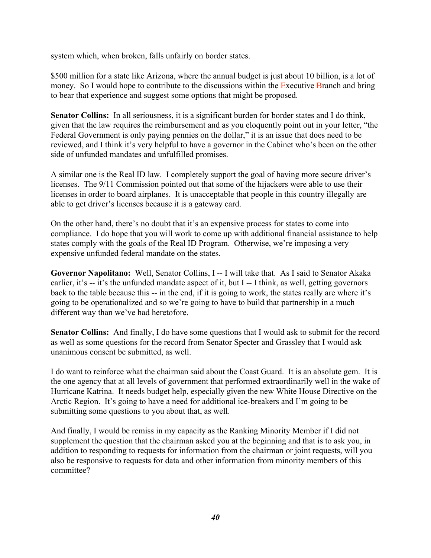system which, when broken, falls unfairly on border states.

\$500 million for a state like Arizona, where the annual budget is just about 10 billion, is a lot of money. So I would hope to contribute to the discussions within the Executive Branch and bring to bear that experience and suggest some options that might be proposed.

**Senator Collins:** In all seriousness, it is a significant burden for border states and I do think, given that the law requires the reimbursement and as you eloquently point out in your letter, "the Federal Government is only paying pennies on the dollar," it is an issue that does need to be reviewed, and I think it's very helpful to have a governor in the Cabinet who's been on the other side of unfunded mandates and unfulfilled promises.

A similar one is the Real ID law. I completely support the goal of having more secure driver's licenses. The 9/11 Commission pointed out that some of the hijackers were able to use their licenses in order to board airplanes. It is unacceptable that people in this country illegally are able to get driver's licenses because it is a gateway card.

On the other hand, there's no doubt that it's an expensive process for states to come into compliance. I do hope that you will work to come up with additional financial assistance to help states comply with the goals of the Real ID Program. Otherwise, we're imposing a very expensive unfunded federal mandate on the states.

**Governor Napolitano:** Well, Senator Collins, I -- I will take that. As I said to Senator Akaka earlier, it's -- it's the unfunded mandate aspect of it, but I -- I think, as well, getting governors back to the table because this -- in the end, if it is going to work, the states really are where it's going to be operationalized and so we're going to have to build that partnership in a much different way than we've had heretofore.

**Senator Collins:** And finally, I do have some questions that I would ask to submit for the record as well as some questions for the record from Senator Specter and Grassley that I would ask unanimous consent be submitted, as well.

I do want to reinforce what the chairman said about the Coast Guard. It is an absolute gem. It is the one agency that at all levels of government that performed extraordinarily well in the wake of Hurricane Katrina. It needs budget help, especially given the new White House Directive on the Arctic Region. It's going to have a need for additional ice-breakers and I'm going to be submitting some questions to you about that, as well.

And finally, I would be remiss in my capacity as the Ranking Minority Member if I did not supplement the question that the chairman asked you at the beginning and that is to ask you, in addition to responding to requests for information from the chairman or joint requests, will you also be responsive to requests for data and other information from minority members of this committee?